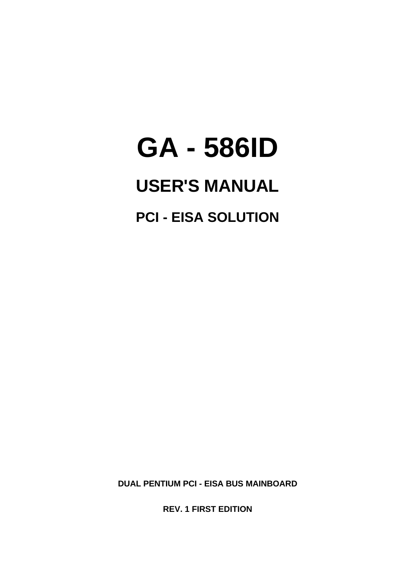# **GA - 586ID**

# **USER'S MANUAL**

**PCI - EISA SOLUTION**

**DUAL PENTIUM PCI - EISA BUS MAINBOARD**

**REV. 1 FIRST EDITION**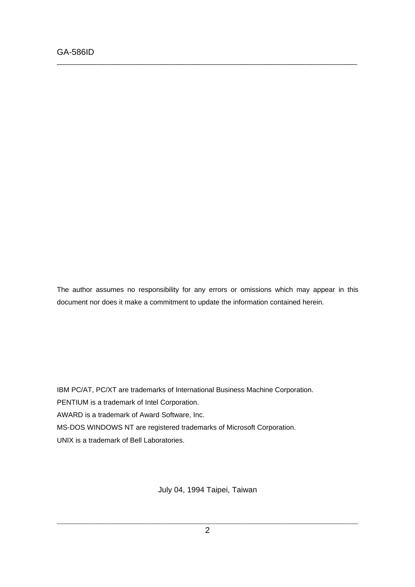The author assumes no responsibility for any errors or omissions which may appear in this document nor does it make a commitment to update the information contained herein.

\_\_\_\_\_\_\_\_\_\_\_\_\_\_\_\_\_\_\_\_\_\_\_\_\_\_\_\_\_\_\_\_\_\_\_\_\_\_\_\_\_\_\_\_\_\_\_\_\_\_\_\_\_\_\_\_\_\_\_\_\_\_\_\_\_\_\_\_\_\_\_\_\_\_\_\_\_\_

IBM PC/AT, PC/XT are trademarks of International Business Machine Corporation. PENTIUM is a trademark of Intel Corporation. AWARD is a trademark of Award Software, Inc. MS-DOS WINDOWS NT are registered trademarks of Microsoft Corporation. UNIX is a trademark of Bell Laboratories.

July 04, 1994 Taipei, Taiwan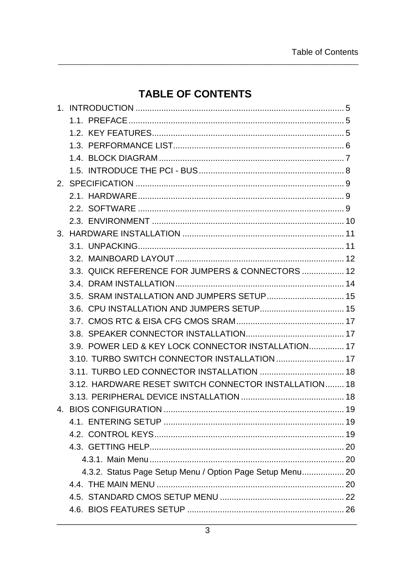# **TABLE OF CONTENTS**

| 3.3. QUICK REFERENCE FOR JUMPERS & CONNECTORS  12         |  |
|-----------------------------------------------------------|--|
|                                                           |  |
| 3.5. SRAM INSTALLATION AND JUMPERS SETUP 15               |  |
|                                                           |  |
|                                                           |  |
|                                                           |  |
| 3.9. POWER LED & KEY LOCK CONNECTOR INSTALLATION 17       |  |
| 3.10. TURBO SWITCH CONNECTOR INSTALLATION  17             |  |
|                                                           |  |
| 3.12. HARDWARE RESET SWITCH CONNECTOR INSTALLATION 18     |  |
|                                                           |  |
|                                                           |  |
|                                                           |  |
|                                                           |  |
|                                                           |  |
|                                                           |  |
| 4.3.2. Status Page Setup Menu / Option Page Setup Menu 20 |  |
|                                                           |  |
|                                                           |  |
|                                                           |  |
|                                                           |  |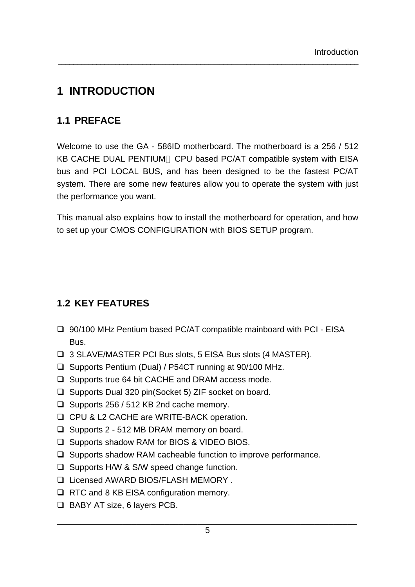# **1 INTRODUCTION**

# **1.1 PREFACE**

Welcome to use the GA - 586ID motherboard. The motherboard is a 256 / 512 KB CACHE DUAL PENTIUM™ CPU based PC/AT compatible system with EISA bus and PCI LOCAL BUS, and has been designed to be the fastest PC/AT system. There are some new features allow you to operate the system with just the performance you want.

\_\_\_\_\_\_\_\_\_\_\_\_\_\_\_\_\_\_\_\_\_\_\_\_\_\_\_\_\_\_\_\_\_\_\_\_\_\_\_\_\_\_\_\_\_\_\_\_\_\_\_\_\_\_\_\_\_\_\_\_\_\_\_\_\_\_\_\_\_\_\_\_\_\_\_\_\_\_

This manual also explains how to install the motherboard for operation, and how to set up your CMOS CONFIGURATION with BIOS SETUP program.

# **1.2 KEY FEATURES**

- □ 90/100 MHz Pentium based PC/AT compatible mainboard with PCI EISA Bus.
- q 3 SLAVE/MASTER PCI Bus slots, 5 EISA Bus slots (4 MASTER).
- □ Supports Pentium (Dual) / P54CT running at 90/100 MHz.
- $\Box$  Supports true 64 bit CACHE and DRAM access mode.
- $\Box$  Supports Dual 320 pin(Socket 5) ZIF socket on board.
- □ Supports 256 / 512 KB 2nd cache memory.
- □ CPU & L2 CACHE are WRITE-BACK operation.
- $\Box$  Supports 2 512 MB DRAM memory on board.
- □ Supports shadow RAM for BIOS & VIDEO BIOS.
- $\Box$  Supports shadow RAM cacheable function to improve performance.
- $\Box$  Supports H/W & S/W speed change function.
- □ Licensed AWARD BIOS/FLASH MEMORY .
- $\Box$  RTC and 8 KB EISA configuration memory.
- $\Box$  BABY AT size, 6 layers PCB.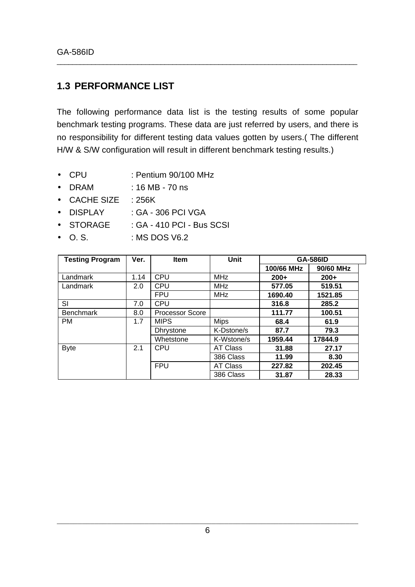# **1.3 PERFORMANCE LIST**

The following performance data list is the testing results of some popular benchmark testing programs. These data are just referred by users, and there is no responsibility for different testing data values gotten by users.( The different H/W & S/W configuration will result in different benchmark testing results.)

- CPU : Pentium 90/100 MHz
- DRAM : 16 MB 70 ns
- CACHE SIZE : 256K
- DISPLAY : GA 306 PCI VGA
- STORAGE : GA 410 PCI Bus SCSI
- $\bullet$  O. S.  $\bullet$  : MS DOS V6.2

| <b>Testing Program</b> | Ver. | Item                   | <b>Unit</b>     | <b>GA-586ID</b> |           |
|------------------------|------|------------------------|-----------------|-----------------|-----------|
|                        |      |                        |                 | 100/66 MHz      | 90/60 MHz |
| Landmark               | 1.14 | <b>CPU</b>             | <b>MHz</b>      | $200+$          | $200+$    |
| Landmark               | 2.0  | <b>CPU</b>             | <b>MHz</b>      | 577.05          | 519.51    |
|                        |      | <b>FPU</b>             | <b>MHz</b>      | 1690.40         | 1521.85   |
| SI                     | 7.0  | <b>CPU</b>             |                 | 316.8           | 285.2     |
| <b>Benchmark</b>       | 8.0  | <b>Processor Score</b> |                 | 111.77          | 100.51    |
| <b>PM</b>              | 1.7  | <b>MIPS</b>            | <b>Mips</b>     | 68.4            | 61.9      |
|                        |      | <b>Dhrystone</b>       | K-Dstone/s      | 87.7            | 79.3      |
|                        |      | Whetstone              | K-Wstone/s      | 1959.44         | 17844.9   |
| <b>Byte</b>            | 2.1  | <b>CPU</b>             | <b>AT Class</b> | 31.88           | 27.17     |
|                        |      |                        | 386 Class       | 11.99           | 8.30      |
|                        |      | <b>FPU</b>             | <b>AT Class</b> | 227.82          | 202.45    |
|                        |      |                        | 386 Class       | 31.87           | 28.33     |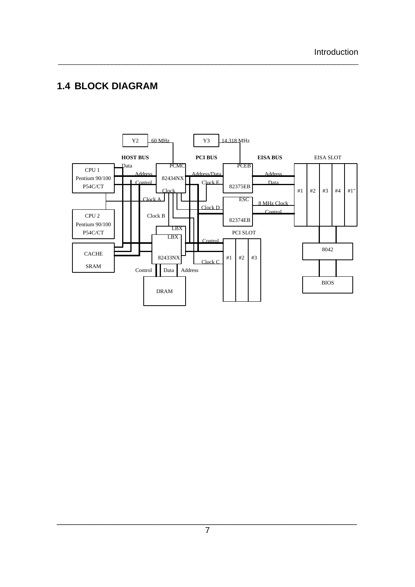# **1.4 BLOCK DIAGRAM**

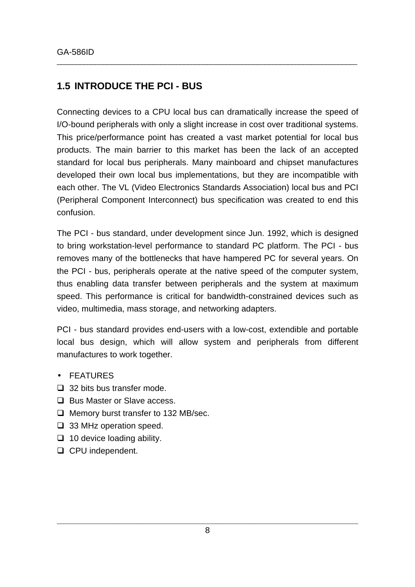# **1.5 INTRODUCE THE PCI - BUS**

Connecting devices to a CPU local bus can dramatically increase the speed of I/O-bound peripherals with only a slight increase in cost over traditional systems. This price/performance point has created a vast market potential for local bus products. The main barrier to this market has been the lack of an accepted standard for local bus peripherals. Many mainboard and chipset manufactures developed their own local bus implementations, but they are incompatible with each other. The VL (Video Electronics Standards Association) local bus and PCI (Peripheral Component Interconnect) bus specification was created to end this confusion.

\_\_\_\_\_\_\_\_\_\_\_\_\_\_\_\_\_\_\_\_\_\_\_\_\_\_\_\_\_\_\_\_\_\_\_\_\_\_\_\_\_\_\_\_\_\_\_\_\_\_\_\_\_\_\_\_\_\_\_\_\_\_\_\_\_\_\_\_\_\_\_\_\_\_\_\_\_\_

The PCI - bus standard, under development since Jun. 1992, which is designed to bring workstation-level performance to standard PC platform. The PCI - bus removes many of the bottlenecks that have hampered PC for several years. On the PCI - bus, peripherals operate at the native speed of the computer system, thus enabling data transfer between peripherals and the system at maximum speed. This performance is critical for bandwidth-constrained devices such as video, multimedia, mass storage, and networking adapters.

PCI - bus standard provides end-users with a low-cost, extendible and portable local bus design, which will allow system and peripherals from different manufactures to work together.

- FEATURES
- $\Box$  32 bits bus transfer mode.
- **□** Bus Master or Slave access.
- $\Box$  Memory burst transfer to 132 MB/sec.
- $\Box$  33 MHz operation speed.
- $\Box$  10 device loading ability.
- $\Box$  CPU independent.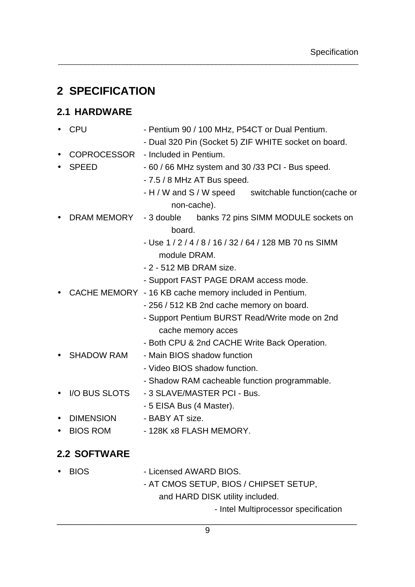# **2 SPECIFICATION**

# **2.1 HARDWARE**

|           | <b>CPU</b>          | - Pentium 90 / 100 MHz, P54CT or Dual Pentium.         |  |  |  |
|-----------|---------------------|--------------------------------------------------------|--|--|--|
|           |                     | - Dual 320 Pin (Socket 5) ZIF WHITE socket on board.   |  |  |  |
|           | COPROCESSOR         | - Included in Pentium.                                 |  |  |  |
|           | <b>SPEED</b>        | - 60 / 66 MHz system and 30 / 33 PCI - Bus speed.      |  |  |  |
|           |                     | - 7.5 / 8 MHz AT Bus speed.                            |  |  |  |
|           |                     | - H / W and S / W speed switchable function (cache or  |  |  |  |
|           |                     | non-cache).                                            |  |  |  |
|           | DRAM MEMORY         | banks 72 pins SIMM MODULE sockets on<br>- 3 double     |  |  |  |
|           |                     | board.                                                 |  |  |  |
|           |                     | - Use 1 / 2 / 4 / 8 / 16 / 32 / 64 / 128 MB 70 ns SIMM |  |  |  |
|           |                     | module DRAM.                                           |  |  |  |
|           |                     | - 2 - 512 MB DRAM size.                                |  |  |  |
|           |                     | - Support FAST PAGE DRAM access mode.                  |  |  |  |
|           |                     | CACHE MEMORY - 16 KB cache memory included in Pentium. |  |  |  |
|           |                     | - 256 / 512 KB 2nd cache memory on board.              |  |  |  |
|           |                     | - Support Pentium BURST Read/Write mode on 2nd         |  |  |  |
|           |                     | cache memory acces                                     |  |  |  |
|           |                     | - Both CPU & 2nd CACHE Write Back Operation.           |  |  |  |
|           | <b>SHADOW RAM</b>   | - Main BIOS shadow function                            |  |  |  |
|           |                     | - Video BIOS shadow function.                          |  |  |  |
|           |                     | - Shadow RAM cacheable function programmable.          |  |  |  |
|           | I/O BUS SLOTS       | - 3 SLAVE/MASTER PCI - Bus.                            |  |  |  |
|           |                     | - 5 EISA Bus (4 Master).                               |  |  |  |
|           | <b>DIMENSION</b>    | - BABY AT size.                                        |  |  |  |
| $\bullet$ | <b>BIOS ROM</b>     | - 128K x8 FLASH MEMORY.                                |  |  |  |
|           | <b>2.2 SOFTWARE</b> |                                                        |  |  |  |
|           |                     |                                                        |  |  |  |
|           | <b>BIOS</b>         | - Licensed AWARD BIOS.                                 |  |  |  |
|           |                     | - AT CMOS SETUP, BIOS / CHIPSET SETUP,                 |  |  |  |
|           |                     | and HARD DISK utility included.                        |  |  |  |
|           |                     | - Intel Multiprocessor specification                   |  |  |  |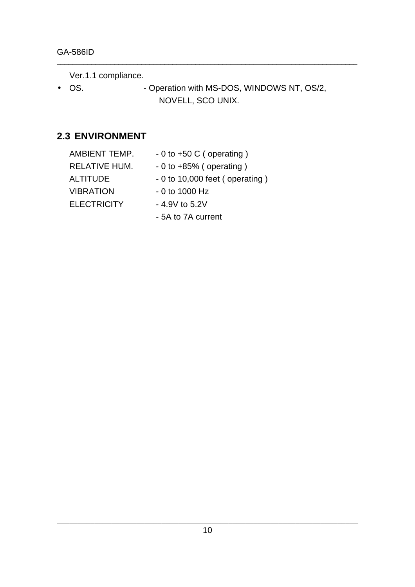Ver.1.1 compliance.

• OS. • Operation with MS-DOS, WINDOWS NT, OS/2, NOVELL, SCO UNIX.

\_\_\_\_\_\_\_\_\_\_\_\_\_\_\_\_\_\_\_\_\_\_\_\_\_\_\_\_\_\_\_\_\_\_\_\_\_\_\_\_\_\_\_\_\_\_\_\_\_\_\_\_\_\_\_\_\_\_\_\_\_\_\_\_\_\_\_\_\_\_\_\_\_\_\_\_\_\_

# **2.3 ENVIRONMENT**

| AMBIENT TEMP.      | $-0$ to $+50$ C (operating)     |
|--------------------|---------------------------------|
| RELATIVE HUM.      | $-0$ to $+85%$ (operating)      |
| <b>ALTITUDE</b>    | $-0$ to 10,000 feet (operating) |
| <b>VIBRATION</b>   | $-0$ to 1000 Hz                 |
| <b>ELECTRICITY</b> | $-4.9V$ to 5.2V                 |
|                    | - 5A to 7A current              |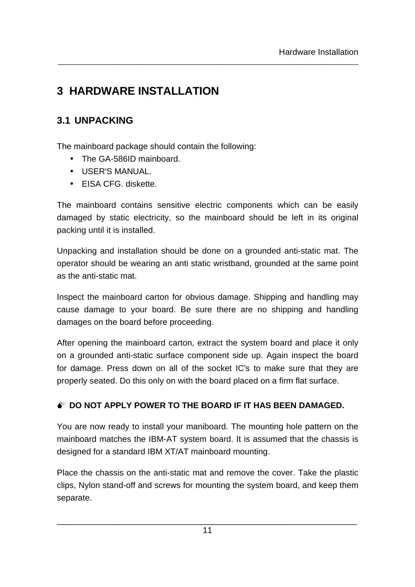# **3 HARDWARE INSTALLATION**

# **3.1 UNPACKING**

The mainboard package should contain the following:

- The GA-586ID mainboard.
- USER'S MANUAL.
- EISA CFG. diskette.

The mainboard contains sensitive electric components which can be easily damaged by static electricity, so the mainboard should be left in its original packing until it is installed.

\_\_\_\_\_\_\_\_\_\_\_\_\_\_\_\_\_\_\_\_\_\_\_\_\_\_\_\_\_\_\_\_\_\_\_\_\_\_\_\_\_\_\_\_\_\_\_\_\_\_\_\_\_\_\_\_\_\_\_\_\_\_\_\_\_\_\_\_\_\_\_\_\_\_\_\_\_\_

Unpacking and installation should be done on a grounded anti-static mat. The operator should be wearing an anti static wristband, grounded at the same point as the anti-static mat.

Inspect the mainboard carton for obvious damage. Shipping and handling may cause damage to your board. Be sure there are no shipping and handling damages on the board before proceeding.

After opening the mainboard carton, extract the system board and place it only on a grounded anti-static surface component side up. Again inspect the board for damage. Press down on all of the socket IC's to make sure that they are properly seated. Do this only on with the board placed on a firm flat surface.

# **M DO NOT APPLY POWER TO THE BOARD IF IT HAS BEEN DAMAGED.**

You are now ready to install your maniboard. The mounting hole pattern on the mainboard matches the IBM-AT system board. It is assumed that the chassis is designed for a standard IBM XT/AT mainboard mounting.

Place the chassis on the anti-static mat and remove the cover. Take the plastic clips, Nylon stand-off and screws for mounting the system board, and keep them separate.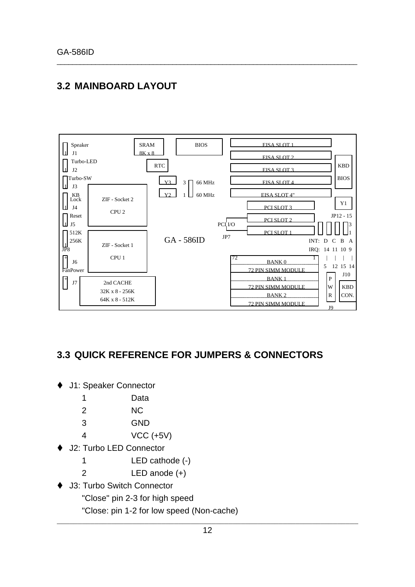# **3.2 MAINBOARD LAYOUT**



\_\_\_\_\_\_\_\_\_\_\_\_\_\_\_\_\_\_\_\_\_\_\_\_\_\_\_\_\_\_\_\_\_\_\_\_\_\_\_\_\_\_\_\_\_\_\_\_\_\_\_\_\_\_\_\_\_\_\_\_\_\_\_\_\_\_\_\_\_\_\_\_\_\_\_\_\_\_

# **3.3 QUICK REFERENCE FOR JUMPERS & CONNECTORS**

- ♦ J1: Speaker Connector
	- 1 Data
	- 2 NC
	- 3 GND
	- 4 VCC (+5V)
- J2: Turbo LED Connector
	- 1 LED cathode (-)
	- 2 LED anode (+)
- J3: Turbo Switch Connector
	- "Close" pin 2-3 for high speed
	- "Close: pin 1-2 for low speed (Non-cache)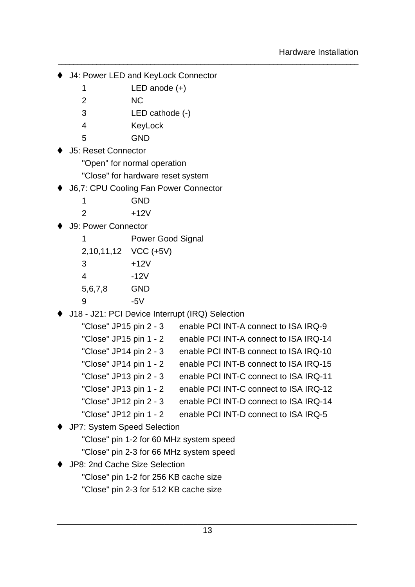- ♦ J4: Power LED and KeyLock Connector
	- 1 LED anode (+)
	- 2 NC
	- 3 LED cathode (-)
	- 4 KeyLock
	- 5 GND
- J5: Reset Connector
	- "Open" for normal operation
	- "Close" for hardware reset system
- **J6,7: CPU Cooling Fan Power Connector**

| 1 | <b>GND</b> |
|---|------------|
| 2 | $+12V$     |

J9: Power Connector

1 Power Good Signal

2,10,11,12 VCC (+5V)

| 3       | $+12V$ |
|---------|--------|
| 4       | -12V   |
| 5,6,7,8 | GND    |

- 9 -5V
- ♦ J18 J21: PCI Device Interrupt (IRQ) Selection

| "Close" JP15 pin 2 - 3 | enable PCI INT-A connect to ISA IRQ-9  |
|------------------------|----------------------------------------|
| "Close" JP15 pin 1 - 2 | enable PCI INT-A connect to ISA IRQ-14 |
| "Close" JP14 pin 2 - 3 | enable PCI INT-B connect to ISA IRQ-10 |
| "Close" JP14 pin 1 - 2 | enable PCI INT-B connect to ISA IRQ-15 |
| "Close" JP13 pin 2 - 3 | enable PCI INT-C connect to ISA IRQ-11 |
| "Close" JP13 pin 1 - 2 | enable PCI INT-C connect to ISA IRQ-12 |
| "Close" JP12 pin 2 - 3 | enable PCI INT-D connect to ISA IRQ-14 |
| "Close" JP12 pin 1 - 2 | enable PCI INT-D connect to ISA IRQ-5  |

- ♦ JP7: System Speed Selection
	- "Close" pin 1-2 for 60 MHz system speed
	- "Close" pin 2-3 for 66 MHz system speed
- ♦ JP8: 2nd Cache Size Selection
	- "Close" pin 1-2 for 256 KB cache size
	- "Close" pin 2-3 for 512 KB cache size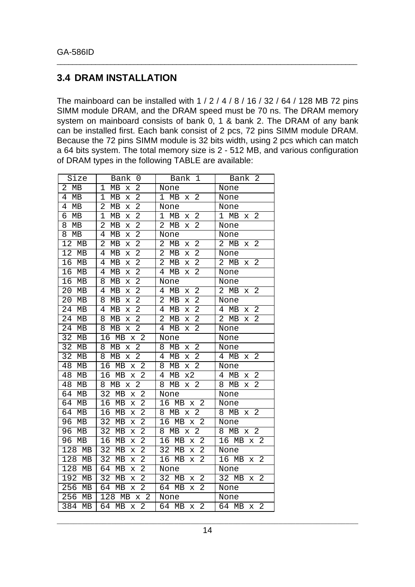### **3.4 DRAM INSTALLATION**

The mainboard can be installed with 1 / 2 / 4 / 8 / 16 / 32 / 64 / 128 MB 72 pins SIMM module DRAM, and the DRAM speed must be 70 ns. The DRAM memory system on mainboard consists of bank 0, 1 & bank 2. The DRAM of any bank can be installed first. Each bank consist of 2 pcs, 72 pins SIMM module DRAM. Because the 72 pins SIMM module is 32 bits width, using 2 pcs which can match a 64 bits system. The total memory size is 2 - 512 MB, and various configuration of DRAM types in the following TABLE are available:

| Size                 | Bank<br>0                                             | Bank<br>1                                 | Bank<br>-2                              |
|----------------------|-------------------------------------------------------|-------------------------------------------|-----------------------------------------|
| 2<br>MB              | 2<br>$\mathbf 1$<br>MB<br>$\mathbf x$                 | None                                      | None                                    |
| $\overline{4}$<br>MB | $\overline{2}$<br>1<br>MB<br>X                        | $\overline{a}$<br>1<br>MB<br>X            | None                                    |
| 4<br>МB              | $\overline{2}$<br>2<br>MB<br>X                        | None                                      | None                                    |
| б<br>МB              | $\overline{2}$<br>$\mathbf 1$<br>MB<br>X              | 2<br>1<br>MB<br>х                         | 2<br>1<br>MВ<br>х                       |
| 8<br>MB              | $\overline{2}$<br>$\overline{2}$<br>MB<br>$\mathbf x$ | $\overline{2}$<br>2<br>MВ<br>X            | None                                    |
| 8<br>MB              | 2<br>4<br>MB<br>х                                     | None                                      | None                                    |
| 12<br>MB             | 2<br>2<br>MB<br>X                                     | 2<br>2<br>MB<br>X                         | 2<br>2<br>MB<br>Х                       |
| 12<br>MB             | 2<br>4<br>MB<br>X                                     | 2<br>2<br>MB<br>X                         | None                                    |
| 16<br>MB             | 2<br>4<br>MB<br>X                                     | $\overline{2}$<br>2<br>MB<br>Х            | $\overline{2}$<br>2<br>$\rm MB$<br>х    |
| 16<br>MB             | $\overline{2}$<br>4<br>MB<br>X                        | 2<br>4<br>MB<br>X                         | None                                    |
| 16<br>MB             | $\overline{2}$<br>8<br>MB<br>X                        | None                                      | None                                    |
| 20<br>MB             | 2<br>4<br>MB<br>X                                     | $\overline{2}$<br>4<br>MB<br>X            | 2<br>2<br>MB<br>х                       |
| 20<br>MB             | $\overline{2}$<br>8<br>MВ<br>X                        | $\overline{2}$<br>2<br>МB<br>х            | None                                    |
| 24<br>MB             | $\overline{2}$<br>4<br>MB<br>X                        | 2<br>4<br>MB<br>X                         | $\overline{2}$<br>4<br>MB<br>X          |
| 24<br>MB             | $\overline{2}$<br>8<br>MB<br>X                        | 2<br>2<br>MB<br>х                         | $\overline{a}$<br>2<br>MB<br>х          |
| 24<br>MB             | $\overline{2}$<br>8<br>MB<br>X                        | $\overline{2}$<br>4<br>MB<br>х            | None                                    |
| 32<br>MВ             | $\overline{2}$<br>16<br>MB<br>$\mathbf x$             | None                                      | None                                    |
| 32<br>MB             | 2<br>8<br>MB<br>X                                     | $\overline{a}$<br>8<br>MB<br>х            | None                                    |
| 32<br>MB             | 2<br>8<br>MB<br>X                                     | 2<br>MB<br>4<br>х                         | 2<br>MB<br>4<br>х                       |
| 48<br>MB             | $\overline{2}$<br>16<br>MB<br>Х                       | 2<br>8<br>MB<br>X                         | None                                    |
| 48<br>MB             | 2<br>16<br>MB<br>$\bar{x}$                            | 4<br>MB<br>x2                             | $\overline{2}$<br>4<br>MB<br>х          |
| 48<br>MB             | $\overline{2}$<br>8<br>МB<br>X                        | $\overline{2}$<br>8<br>MB<br>X            | $\overline{2}$<br>MB<br>8<br>X          |
| 64<br>MB             | 32<br>$\overline{a}$<br>MB<br>$\bar{x}$               | None                                      | None                                    |
| 64<br>MB             | $\overline{2}$<br>16<br>MB<br>$\mathbf x$             | $\overline{2}$<br>16<br>MB<br>$\mathbf x$ | None                                    |
| 64<br>MB             | $\overline{2}$<br>16<br>MB<br>X                       | 2<br>MB<br>8<br>X                         | 2<br>8<br>MВ<br>Х                       |
| 96<br>MB             | $\overline{2}$<br>32<br>MB<br>X                       | $\overline{2}$<br>16<br>MB<br>$\bar{x}$   | None                                    |
| 96<br>MB             | 2<br>32<br>MB<br>X                                    | $\overline{2}$<br>MB<br>8<br>$\mathbf x$  | $\overline{2}$<br>MB<br>8<br>X          |
| 96<br>MB             | 2<br>16<br>MB<br>X                                    | MB<br>$\mathbf 2$<br>16<br>$\bar{x}$      | 16<br>MB<br>$\mathbf{2}$<br>$\mathbf x$ |
| 128<br>MB            | $\overline{2}$<br>32<br>MB<br>X                       | 2<br>32<br>MB<br>X                        | None                                    |
| 128<br>MB            | 2<br>32<br>MB<br>X                                    | 2<br>16<br>MB<br>X                        | 16<br>$\overline{2}$<br>MB<br>X         |
| 128<br>MB            | 2<br>64<br>MB<br>X                                    | None                                      | None                                    |
| 192<br>МB            | 2<br>32<br>MB<br>X                                    | $\overline{2}$<br>32<br>MВ<br>х           | $\overline{2}$<br>32<br>MВ<br>х         |
| 256<br>MB            | 2<br>64<br>MB<br>X                                    | 2<br>64<br>MB<br>X                        | None                                    |
| 256<br>MB            | $\overline{2}$<br>128<br>MB<br>X                      | None                                      | None                                    |
| 384<br>MB            | $\overline{2}$<br>64<br>MB<br>$\mathbf x$             | $\overline{2}$<br>64<br>MB<br>Х           | $\overline{2}$<br>64 MB<br>X            |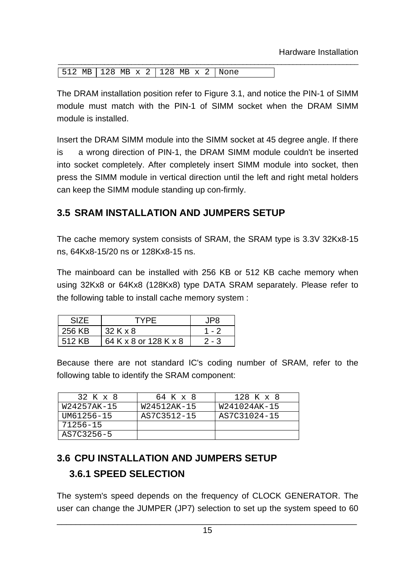| $512 \text{ MB}$ 128 MB x 2 128 MB x 2 None |  |
|---------------------------------------------|--|

The DRAM installation position refer to Figure 3.1, and notice the PIN-1 of SIMM module must match with the PIN-1 of SIMM socket when the DRAM SIMM module is installed.

\_\_\_\_\_\_\_\_\_\_\_\_\_\_\_\_\_\_\_\_\_\_\_\_\_\_\_\_\_\_\_\_\_\_\_\_\_\_\_\_\_\_\_\_\_\_\_\_\_\_\_\_\_\_\_\_\_\_\_\_\_\_\_\_\_\_\_\_\_\_\_\_\_\_\_\_\_\_

Insert the DRAM SIMM module into the SIMM socket at 45 degree angle. If there is a wrong direction of PIN-1, the DRAM SIMM module couldn't be inserted into socket completely. After completely insert SIMM module into socket, then press the SIMM module in vertical direction until the left and right metal holders can keep the SIMM module standing up con-firmly.

# **3.5 SRAM INSTALLATION AND JUMPERS SETUP**

The cache memory system consists of SRAM, the SRAM type is 3.3V 32Kx8-15 ns, 64Kx8-15/20 ns or 128Kx8-15 ns.

The mainboard can be installed with 256 KB or 512 KB cache memory when using 32Kx8 or 64Kx8 (128Kx8) type DATA SRAM separately. Please refer to the following table to install cache memory system :

| <b>SIZE</b> | <b>TYPF</b>           | IPR     |
|-------------|-----------------------|---------|
| 256 KB      | 32 K x 8              | $1 - 2$ |
| 512 KB      | 64 K x 8 or 128 K x 8 | $2 - 3$ |

Because there are not standard IC's coding number of SRAM, refer to the following table to identify the SRAM component:

| 32 K x 8    | 64 K x 8    | 128 K x 8    |
|-------------|-------------|--------------|
| W24257AK-15 | W24512AK-15 | W241024AK-15 |
| UM61256-15  | AS7C3512-15 | AS7C31024-15 |
| 71256-15    |             |              |
| AS7C3256-5  |             |              |

# **3.6 CPU INSTALLATION AND JUMPERS SETUP 3.6.1 SPEED SELECTION**

The system's speed depends on the frequency of CLOCK GENERATOR. The user can change the JUMPER (JP7) selection to set up the system speed to 60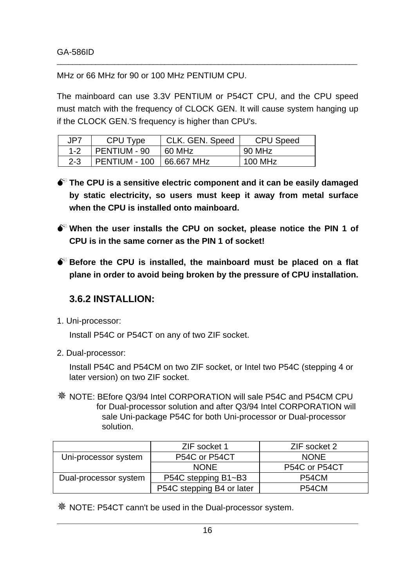MHz or 66 MHz for 90 or 100 MHz PENTIUM CPU.

The mainboard can use 3.3V PENTIUM or P54CT CPU, and the CPU speed must match with the frequency of CLOCK GEN. It will cause system hanging up if the CLOCK GEN.'S frequency is higher than CPU's.

\_\_\_\_\_\_\_\_\_\_\_\_\_\_\_\_\_\_\_\_\_\_\_\_\_\_\_\_\_\_\_\_\_\_\_\_\_\_\_\_\_\_\_\_\_\_\_\_\_\_\_\_\_\_\_\_\_\_\_\_\_\_\_\_\_\_\_\_\_\_\_\_\_\_\_\_\_\_

| JP7     | CPU Type      | CLK. GEN. Speed | CPU Speed |
|---------|---------------|-----------------|-----------|
| $1 - 2$ | PENTIUM - 90  | 60 MHz          | 90 MHz    |
| $2 - 3$ | PENTIUM - 100 | 66.667 MHz      | 100 MHz   |

- $\bullet^*$  The CPU is a sensitive electric component and it can be easily damaged **by static electricity, so users must keep it away from metal surface when the CPU is installed onto mainboard.**
- $\bullet^*$  When the user installs the CPU on socket, please notice the PIN 1 of **CPU is in the same corner as the PIN 1 of socket!**
- $\bullet^*$  Before the CPU is installed, the mainboard must be placed on a flat **plane in order to avoid being broken by the pressure of CPU installation.**

# **3.6.2 INSTALLION:**

1. Uni-processor:

Install P54C or P54CT on any of two ZIF socket.

2. Dual-processor:

Install P54C and P54CM on two ZIF socket, or Intel two P54C (stepping 4 or later version) on two ZIF socket.

Ø NOTE: BEfore Q3/94 Intel CORPORATION will sale P54C and P54CM CPU for Dual-processor solution and after Q3/94 Intel CORPORATION will sale Uni-package P54C for both Uni-processor or Dual-processor solution.

|                       | ZIF socket 1              | ZIF socket 2       |
|-----------------------|---------------------------|--------------------|
| Uni-processor system  | P54C or P54CT             | <b>NONE</b>        |
|                       | <b>NONE</b>               | P54C or P54CT      |
| Dual-processor system | P54C stepping B1~B3       | P54CM              |
|                       | P54C stepping B4 or later | P <sub>54</sub> CM |

Ø NOTE: P54CT cann't be used in the Dual-processor system.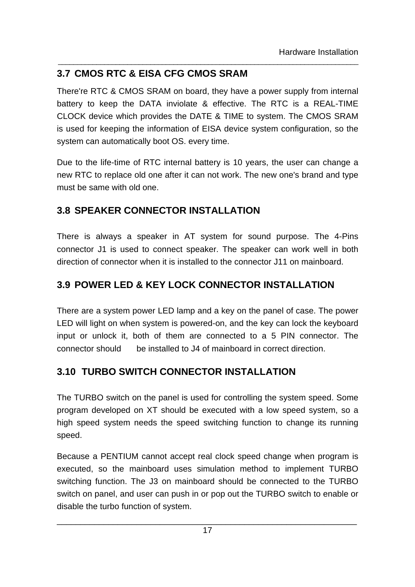# **3.7 CMOS RTC & EISA CFG CMOS SRAM**

There're RTC & CMOS SRAM on board, they have a power supply from internal battery to keep the DATA inviolate & effective. The RTC is a REAL-TIME CLOCK device which provides the DATE & TIME to system. The CMOS SRAM is used for keeping the information of EISA device system configuration, so the system can automatically boot OS. every time.

\_\_\_\_\_\_\_\_\_\_\_\_\_\_\_\_\_\_\_\_\_\_\_\_\_\_\_\_\_\_\_\_\_\_\_\_\_\_\_\_\_\_\_\_\_\_\_\_\_\_\_\_\_\_\_\_\_\_\_\_\_\_\_\_\_\_\_\_\_\_\_\_\_\_\_\_\_\_

Due to the life-time of RTC internal battery is 10 years, the user can change a new RTC to replace old one after it can not work. The new one's brand and type must be same with old one.

# **3.8 SPEAKER CONNECTOR INSTALLATION**

There is always a speaker in AT system for sound purpose. The 4-Pins connector J1 is used to connect speaker. The speaker can work well in both direction of connector when it is installed to the connector J11 on mainboard.

# **3.9 POWER LED & KEY LOCK CONNECTOR INSTALLATION**

There are a system power LED lamp and a key on the panel of case. The power LED will light on when system is powered-on, and the key can lock the keyboard input or unlock it, both of them are connected to a 5 PIN connector. The connector should be installed to J4 of mainboard in correct direction.

# **3.10 TURBO SWITCH CONNECTOR INSTALLATION**

The TURBO switch on the panel is used for controlling the system speed. Some program developed on XT should be executed with a low speed system, so a high speed system needs the speed switching function to change its running speed.

Because a PENTIUM cannot accept real clock speed change when program is executed, so the mainboard uses simulation method to implement TURBO switching function. The J3 on mainboard should be connected to the TURBO switch on panel, and user can push in or pop out the TURBO switch to enable or disable the turbo function of system.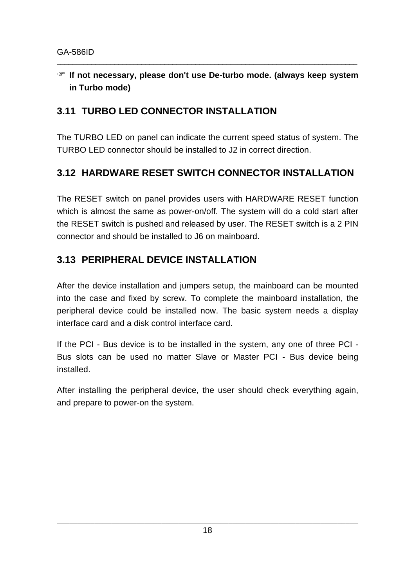# **F If not necessary, please don't use De-turbo mode. (always keep system in Turbo mode)**

\_\_\_\_\_\_\_\_\_\_\_\_\_\_\_\_\_\_\_\_\_\_\_\_\_\_\_\_\_\_\_\_\_\_\_\_\_\_\_\_\_\_\_\_\_\_\_\_\_\_\_\_\_\_\_\_\_\_\_\_\_\_\_\_\_\_\_\_\_\_\_\_\_\_\_\_\_\_

# **3.11 TURBO LED CONNECTOR INSTALLATION**

The TURBO LED on panel can indicate the current speed status of system. The TURBO LED connector should be installed to J2 in correct direction.

# **3.12 HARDWARE RESET SWITCH CONNECTOR INSTALLATION**

The RESET switch on panel provides users with HARDWARE RESET function which is almost the same as power-on/off. The system will do a cold start after the RESET switch is pushed and released by user. The RESET switch is a 2 PIN connector and should be installed to J6 on mainboard.

# **3.13 PERIPHERAL DEVICE INSTALLATION**

After the device installation and jumpers setup, the mainboard can be mounted into the case and fixed by screw. To complete the mainboard installation, the peripheral device could be installed now. The basic system needs a display interface card and a disk control interface card.

If the PCI - Bus device is to be installed in the system, any one of three PCI - Bus slots can be used no matter Slave or Master PCI - Bus device being installed.

After installing the peripheral device, the user should check everything again, and prepare to power-on the system.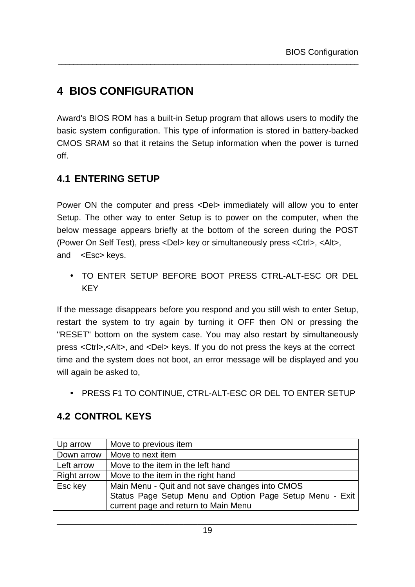# **4 BIOS CONFIGURATION**

Award's BIOS ROM has a built-in Setup program that allows users to modify the basic system configuration. This type of information is stored in battery-backed CMOS SRAM so that it retains the Setup information when the power is turned off.

\_\_\_\_\_\_\_\_\_\_\_\_\_\_\_\_\_\_\_\_\_\_\_\_\_\_\_\_\_\_\_\_\_\_\_\_\_\_\_\_\_\_\_\_\_\_\_\_\_\_\_\_\_\_\_\_\_\_\_\_\_\_\_\_\_\_\_\_\_\_\_\_\_\_\_\_\_\_

# **4.1 ENTERING SETUP**

Power ON the computer and press <Del> immediately will allow you to enter Setup. The other way to enter Setup is to power on the computer, when the below message appears briefly at the bottom of the screen during the POST (Power On Self Test), press <Del> key or simultaneously press <Ctrl>, <Alt>, and <Esc> keys.

• TO ENTER SETUP BEFORE BOOT PRESS CTRL-ALT-ESC OR DEL KEY

If the message disappears before you respond and you still wish to enter Setup, restart the system to try again by turning it OFF then ON or pressing the "RESET" bottom on the system case. You may also restart by simultaneously press <Ctrl>,<Alt>, and <Del> keys. If you do not press the keys at the correct time and the system does not boot, an error message will be displayed and you will again be asked to,

• PRESS F1 TO CONTINUE, CTRL-ALT-ESC OR DEL TO ENTER SETUP

# **4.2 CONTROL KEYS**

| Up arrow           | Move to previous item                                    |
|--------------------|----------------------------------------------------------|
| Down arrow         | Move to next item                                        |
| Left arrow         | Move to the item in the left hand                        |
| <b>Right arrow</b> | Move to the item in the right hand                       |
| Esc key            | Main Menu - Quit and not save changes into CMOS          |
|                    | Status Page Setup Menu and Option Page Setup Menu - Exit |
|                    | current page and return to Main Menu                     |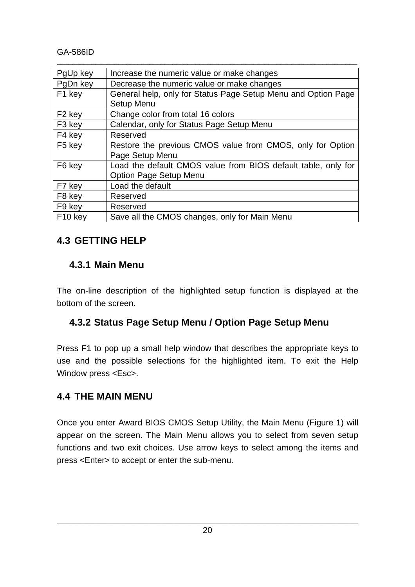GA-586ID

| PgUp key                                               | Increase the numeric value or make changes                    |
|--------------------------------------------------------|---------------------------------------------------------------|
| PgDn key<br>Decrease the numeric value or make changes |                                                               |
| F1 key                                                 | General help, only for Status Page Setup Menu and Option Page |
|                                                        | Setup Menu                                                    |
| F <sub>2</sub> key                                     | Change color from total 16 colors                             |
| F <sub>3</sub> key                                     | Calendar, only for Status Page Setup Menu                     |
| F4 key                                                 | Reserved                                                      |
| F <sub>5</sub> key                                     | Restore the previous CMOS value from CMOS, only for Option    |
|                                                        | Page Setup Menu                                               |
| F6 key                                                 | Load the default CMOS value from BIOS default table, only for |
|                                                        | <b>Option Page Setup Menu</b>                                 |
| F7 key                                                 | Load the default                                              |
| F <sub>8</sub> key                                     | Reserved                                                      |
| F9 key                                                 | Reserved                                                      |
| F <sub>10</sub> key                                    | Save all the CMOS changes, only for Main Menu                 |

\_\_\_\_\_\_\_\_\_\_\_\_\_\_\_\_\_\_\_\_\_\_\_\_\_\_\_\_\_\_\_\_\_\_\_\_\_\_\_\_\_\_\_\_\_\_\_\_\_\_\_\_\_\_\_\_\_\_\_\_\_\_\_\_\_\_\_\_\_\_\_\_\_\_\_\_\_\_

# **4.3 GETTING HELP**

# **4.3.1 Main Menu**

The on-line description of the highlighted setup function is displayed at the bottom of the screen.

# **4.3.2 Status Page Setup Menu / Option Page Setup Menu**

Press F1 to pop up a small help window that describes the appropriate keys to use and the possible selections for the highlighted item. To exit the Help Window press <Esc>.

# **4.4 THE MAIN MENU**

Once you enter Award BIOS CMOS Setup Utility, the Main Menu (Figure 1) will appear on the screen. The Main Menu allows you to select from seven setup functions and two exit choices. Use arrow keys to select among the items and press <Enter> to accept or enter the sub-menu.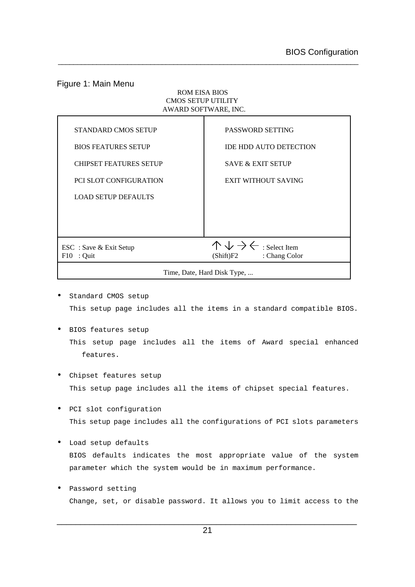#### Figure 1: Main Menu

#### ROM EISA BIOS CMOS SETUP UTILITY AWARD SOFTWARE, INC.

| <b>STANDARD CMOS SETUP</b>    | PASSWORD SETTING                                   |
|-------------------------------|----------------------------------------------------|
| <b>BIOS FEATURES SETUP</b>    | <b>IDE HDD AUTO DETECTION</b>                      |
| <b>CHIPSET FEATURES SETUP</b> | <b>SAVE &amp; EXIT SETUP</b>                       |
| <b>PCI SLOT CONFIGURATION</b> | <b>EXIT WITHOUT SAVING</b>                         |
| <b>LOAD SETUP DEFAULTS</b>    |                                                    |
|                               |                                                    |
|                               |                                                    |
| ESC : Save & Exit Setup       | $\wedge \vee \rightarrow \leftarrow$ : Select Item |
| $F10$ : Quit                  | (Shift)F2 : Chang Color                            |
|                               | Time, Date, Hard Disk Type,                        |

- Standard CMOS setup This setup page includes all the items in a standard compatible BIOS.
- BIOS features setup This setup page includes all the items of Award special enhanced features.
- Chipset features setup This setup page includes all the items of chipset special features.
- PCI slot configuration This setup page includes all the configurations of PCI slots parameters
- Load setup defaults BIOS defaults indicates the most appropriate value of the system parameter which the system would be in maximum performance.
- Password setting Change, set, or disable password. It allows you to limit access to the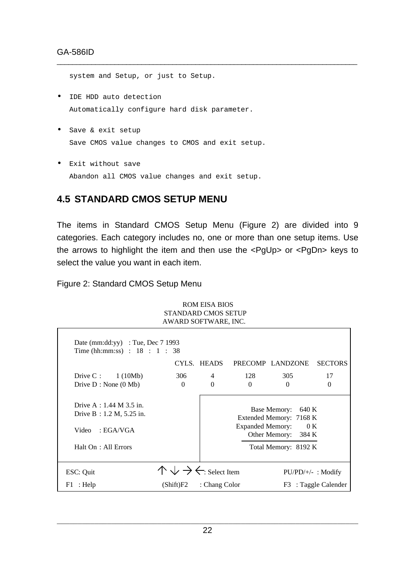system and Setup, or just to Setup.

- IDE HDD auto detection Automatically configure hard disk parameter.
- Save & exit setup Save CMOS value changes to CMOS and exit setup.
- Exit without save Abandon all CMOS value changes and exit setup.

# **4.5 STANDARD CMOS SETUP MENU**

The items in Standard CMOS Setup Menu (Figure 2) are divided into 9 categories. Each category includes no, one or more than one setup items. Use the arrows to highlight the item and then use the <PgUp> or <PgDn> keys to select the value you want in each item.

\_\_\_\_\_\_\_\_\_\_\_\_\_\_\_\_\_\_\_\_\_\_\_\_\_\_\_\_\_\_\_\_\_\_\_\_\_\_\_\_\_\_\_\_\_\_\_\_\_\_\_\_\_\_\_\_\_\_\_\_\_\_\_\_\_\_\_\_\_\_\_\_\_\_\_\_\_\_

Figure 2: Standard CMOS Setup Menu

| AWARD SOFTWARE, INC.                                                                                         |                                                    |                |                         |                                                                                                       |                      |
|--------------------------------------------------------------------------------------------------------------|----------------------------------------------------|----------------|-------------------------|-------------------------------------------------------------------------------------------------------|----------------------|
| Date (mm:dd:yy) : Tue, Dec $7\,1993$<br>Time (hh:mm:ss) : $18 : 1 : 38$                                      |                                                    |                |                         |                                                                                                       |                      |
|                                                                                                              |                                                    | CYLS. HEADS    |                         | PRECOMP LANDZONE                                                                                      | <b>SECTORS</b>       |
| Drive C: $1(10Mb)$                                                                                           | 306                                                | $\overline{4}$ | 128                     | 305                                                                                                   | 17                   |
| Drive $D : None(0Mb)$                                                                                        | $\Omega$                                           | $\Omega$       | $\Omega$                | $\Omega$                                                                                              | $\Omega$             |
| Drive A : $1.44$ M $3.5$ in.<br>Drive B : $1.2 M$ , $5.25 in$ .<br>: EGA/VGA<br>Video<br>Halt On: All Errors |                                                    |                | <b>Expanded Memory:</b> | Base Memory:<br>640 K<br>Extended Memory: 7168 K<br>0K<br>Other Memory: 384 K<br>Total Memory: 8192 K |                      |
| ESC: Quit                                                                                                    | $\wedge \vee \rightarrow \leftarrow$ : Select Item |                |                         |                                                                                                       | $PU/PD/+/-$ : Modify |
| $F1$ : Help                                                                                                  | (Shift)F2                                          | : Chang Color  |                         |                                                                                                       | F3 : Taggle Calender |

ROM EISA BIOS STANDARD CMOS SETUP AWARD SOFTWARE, INC.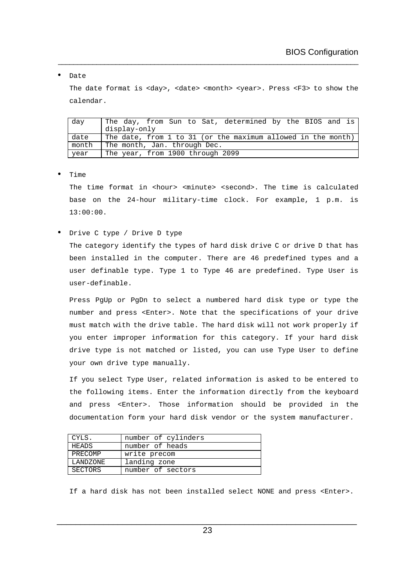#### • Date

The date format is <day>, <date> <month> <year>. Press <F3> to show the calendar.

\_\_\_\_\_\_\_\_\_\_\_\_\_\_\_\_\_\_\_\_\_\_\_\_\_\_\_\_\_\_\_\_\_\_\_\_\_\_\_\_\_\_\_\_\_\_\_\_\_\_\_\_\_\_\_\_\_\_\_\_\_\_\_\_\_\_\_\_\_\_\_\_\_\_\_\_\_\_

| day   | The day, from Sun to Sat, determined by the BIOS and is      |  |  |
|-------|--------------------------------------------------------------|--|--|
|       | display-only                                                 |  |  |
| date  | The date, from 1 to 31 (or the maximum allowed in the month) |  |  |
| month | The month, Jan. through Dec.                                 |  |  |
| year  | The year, from 1900 through 2099                             |  |  |

• Time

The time format in <hour> <minute> <second>. The time is calculated base on the 24-hour military-time clock. For example, 1 p.m. is 13:00:00.

• Drive C type / Drive D type

The category identify the types of hard disk drive C or drive D that has been installed in the computer. There are 46 predefined types and a user definable type. Type 1 to Type 46 are predefined. Type User is user-definable.

Press PgUp or PgDn to select a numbered hard disk type or type the number and press <Enter>. Note that the specifications of your drive must match with the drive table. The hard disk will not work properly if you enter improper information for this category. If your hard disk drive type is not matched or listed, you can use Type User to define your own drive type manually.

If you select Type User, related information is asked to be entered to the following items. Enter the information directly from the keyboard and press <Enter>. Those information should be provided in the documentation form your hard disk vendor or the system manufacturer.

| CYLS.          | number of cylinders |  |
|----------------|---------------------|--|
| HEADS          | number of heads     |  |
| PRECOMP        | write precom        |  |
| LANDZONE       | landing zone        |  |
| <b>SECTORS</b> | number of sectors   |  |

If a hard disk has not been installed select NONE and press <Enter>.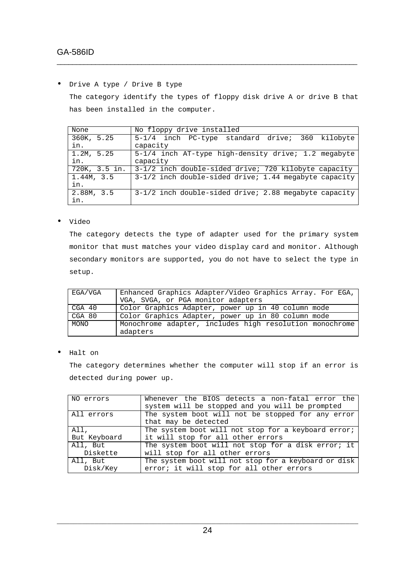• Drive A type / Drive B type

The category identify the types of floppy disk drive A or drive B that has been installed in the computer.

\_\_\_\_\_\_\_\_\_\_\_\_\_\_\_\_\_\_\_\_\_\_\_\_\_\_\_\_\_\_\_\_\_\_\_\_\_\_\_\_\_\_\_\_\_\_\_\_\_\_\_\_\_\_\_\_\_\_\_\_\_\_\_\_\_\_\_\_\_\_\_\_\_\_\_\_\_\_

| None          | No floppy drive installed                               |
|---------------|---------------------------------------------------------|
| 360K, 5.25    | 5-1/4 inch PC-type standard drive; 360 kilobyte         |
| in.           | capacity                                                |
| 1.2M, 5.25    | 5-1/4 inch AT-type high-density drive; 1.2 megabyte     |
| in.           | capacity                                                |
| 720K, 3.5 in. | 3-1/2 inch double-sided drive; 720 kilobyte capacity    |
| 1.44M, 3.5    | 3-1/2 inch double-sided drive; 1.44 megabyte capacity   |
| in.           |                                                         |
| 2.88M, 3.5    | $3-1/2$ inch double-sided drive; 2.88 megabyte capacity |
| in.           |                                                         |

• Video

The category detects the type of adapter used for the primary system monitor that must matches your video display card and monitor. Although secondary monitors are supported, you do not have to select the type in setup.

| EGA/VGA     | Enhanced Graphics Adapter/Video Graphics Array. For EGA,<br>VGA, SVGA, or PGA monitor adapters |
|-------------|------------------------------------------------------------------------------------------------|
| CGA 40      | Color Graphics Adapter, power up in 40 column mode                                             |
| CGA 80      | Color Graphics Adapter, power up in 80 column mode                                             |
| <b>MONO</b> | Monochrome adapter, includes high resolution monochrome<br>adapters                            |

• Halt on

The category determines whether the computer will stop if an error is detected during power up.

| NO errors            | Whenever the BIOS detects a non-fatal error the<br>system will be stopped and you will be prompted |
|----------------------|----------------------------------------------------------------------------------------------------|
| All errors           | The system boot will not be stopped for any error<br>that may be detected                          |
| All,                 | The system boot will not stop for a keyboard error;                                                |
| But Keyboard         | it will stop for all other errors                                                                  |
| All, But             | The system boot will not stop for a disk error; it                                                 |
| Diskette             | will stop for all other errors                                                                     |
| All, But<br>Disk/Key | The system boot will not stop for a keyboard or disk<br>error; it will stop for all other errors   |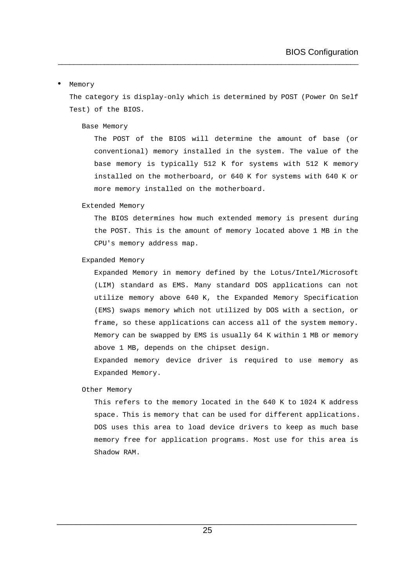#### • Memory

The category is display-only which is determined by POST (Power On Self Test) of the BIOS.

\_\_\_\_\_\_\_\_\_\_\_\_\_\_\_\_\_\_\_\_\_\_\_\_\_\_\_\_\_\_\_\_\_\_\_\_\_\_\_\_\_\_\_\_\_\_\_\_\_\_\_\_\_\_\_\_\_\_\_\_\_\_\_\_\_\_\_\_\_\_\_\_\_\_\_\_\_\_

#### Base Memory

The POST of the BIOS will determine the amount of base (or conventional) memory installed in the system. The value of the base memory is typically 512 K for systems with 512 K memory installed on the motherboard, or 640 K for systems with 640 K or more memory installed on the motherboard.

#### Extended Memory

The BIOS determines how much extended memory is present during the POST. This is the amount of memory located above 1 MB in the CPU's memory address map.

#### Expanded Memory

Expanded Memory in memory defined by the Lotus/Intel/Microsoft (LIM) standard as EMS. Many standard DOS applications can not utilize memory above 640 K, the Expanded Memory Specification (EMS) swaps memory which not utilized by DOS with a section, or frame, so these applications can access all of the system memory. Memory can be swapped by EMS is usually 64 K within 1 MB or memory above 1 MB, depends on the chipset design.

Expanded memory device driver is required to use memory as Expanded Memory.

#### Other Memory

This refers to the memory located in the 640 K to 1024 K address space. This is memory that can be used for different applications. DOS uses this area to load device drivers to keep as much base memory free for application programs. Most use for this area is Shadow RAM.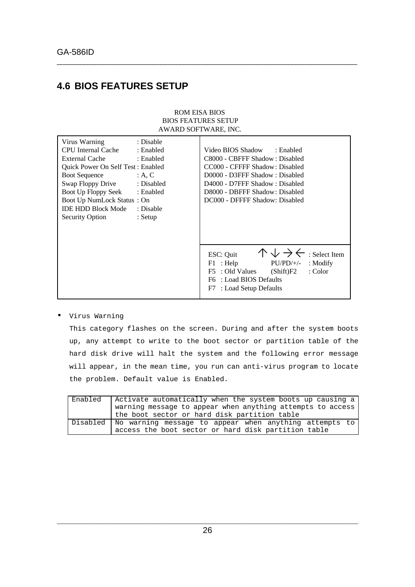# **4.6 BIOS FEATURES SETUP**

#### ROM EISA BIOS BIOS FEATURES SETUP AWARD SOFTWARE, INC.

\_\_\_\_\_\_\_\_\_\_\_\_\_\_\_\_\_\_\_\_\_\_\_\_\_\_\_\_\_\_\_\_\_\_\_\_\_\_\_\_\_\_\_\_\_\_\_\_\_\_\_\_\_\_\_\_\_\_\_\_\_\_\_\_\_\_\_\_\_\_\_\_\_\_\_\_\_\_

| Virus Warning                     | : Disable  |                                                                 |
|-----------------------------------|------------|-----------------------------------------------------------------|
| CPU Internal Cache                | : Enabled  | Video BIOS Shadow<br>: Enabled                                  |
| External Cache                    | : Enabled  | C8000 - CBFFF Shadow: Disabled                                  |
| Quick Power On Self Test: Enabled |            | CC000 - CFFFF Shadow: Disabled                                  |
| <b>Boot Sequence</b>              | : A, C     | D0000 - D3FFF Shadow: Disabled                                  |
| Swap Floppy Drive                 | : Disabled | D4000 - D7FFF Shadow: Disabled                                  |
| Boot Up Floppy Seek               | : Enabled  | D8000 - DBFFF Shadow: Disabled                                  |
| Boot Up NumLock Status: On        |            | DC000 - DFFFF Shadow: Disabled                                  |
| <b>IDE HDD Block Mode</b>         | : Disable  |                                                                 |
| Security Option                   | $:$ Setup  |                                                                 |
|                                   |            |                                                                 |
|                                   |            |                                                                 |
|                                   |            |                                                                 |
|                                   |            | $\wedge \vee \rightarrow \leftarrow$ : Select Item<br>ESC: Quit |
|                                   |            | $PU/PD/+/-$<br>F1 : Help<br>$:$ Modify                          |
|                                   |            | F5 : Old Values<br>: Color<br>(Shift)F2                         |
|                                   |            | F6 : Load BIOS Defaults                                         |
|                                   |            | F7 : Load Setup Defaults                                        |
|                                   |            |                                                                 |

• Virus Warning

This category flashes on the screen. During and after the system boots up, any attempt to write to the boot sector or partition table of the hard disk drive will halt the system and the following error message will appear, in the mean time, you run can anti-virus program to locate the problem. Default value is Enabled.

| Enabled | Activate automatically when the system boots up causing a         |
|---------|-------------------------------------------------------------------|
|         | warning message to appear when anything attempts to access        |
|         | the boot sector or hard disk partition table                      |
|         | Disabled   No warning message to appear when anything attempts to |
|         | access the boot sector or hard disk partition table               |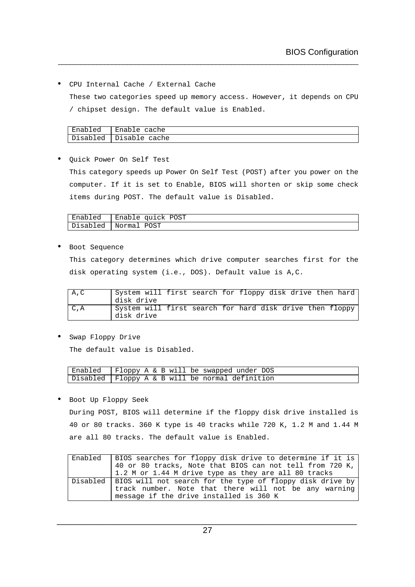• CPU Internal Cache / External Cache

These two categories speed up memory access. However, it depends on CPU / chipset design. The default value is Enabled.

\_\_\_\_\_\_\_\_\_\_\_\_\_\_\_\_\_\_\_\_\_\_\_\_\_\_\_\_\_\_\_\_\_\_\_\_\_\_\_\_\_\_\_\_\_\_\_\_\_\_\_\_\_\_\_\_\_\_\_\_\_\_\_\_\_\_\_\_\_\_\_\_\_\_\_\_\_\_

| Enabled  | Enable cache  |
|----------|---------------|
| Disabled | Disable cache |

• Quick Power On Self Test

This category speeds up Power On Self Test (POST) after you power on the computer. If it is set to Enable, BIOS will shorten or skip some check items during POST. The default value is Disabled.

| Enabled   Enable quick POST |
|-----------------------------|
| Disabled   Normal POST      |

• Boot Sequence

This category determines which drive computer searches first for the disk operating system (i.e., DOS). Default value is A,C.

| A, C | System will first search for floppy disk drive then hard               |  |  |  |  |
|------|------------------------------------------------------------------------|--|--|--|--|
|      | disk drive                                                             |  |  |  |  |
| C, A | System will first search for hard disk drive then floppy<br>disk drive |  |  |  |  |

• Swap Floppy Drive The default value is Disabled.

| Enabled   Floppy A & B will be swapped under DOS  |  |  |  |  |  |
|---------------------------------------------------|--|--|--|--|--|
| Disabled   Floppy A & B will be normal definition |  |  |  |  |  |

• Boot Up Floppy Seek

During POST, BIOS will determine if the floppy disk drive installed is 40 or 80 tracks. 360 K type is 40 tracks while 720 K, 1.2 M and 1.44 M are all 80 tracks. The default value is Enabled.

| Enabled   BIOS searches for floppy disk drive to determine if it is      |
|--------------------------------------------------------------------------|
| $\vert$ 40 or 80 tracks, Note that BIOS can not tell from 720 K, $\vert$ |
| $1.2$ M or 1.44 M drive type as they are all 80 tracks                   |
| Disabled   BIOS will not search for the type of floppy disk drive by     |
| track number. Note that there will not be any warning                    |
| message if the drive installed is 360 K                                  |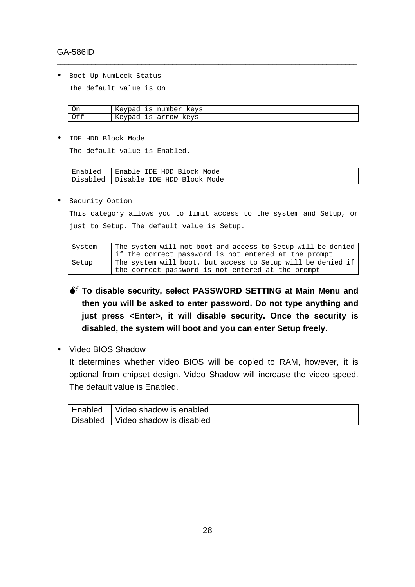### GA-586ID

• Boot Up NumLock Status

The default value is On

| On  | Keypad is number keys |
|-----|-----------------------|
| Off | Keypad is arrow keys  |

\_\_\_\_\_\_\_\_\_\_\_\_\_\_\_\_\_\_\_\_\_\_\_\_\_\_\_\_\_\_\_\_\_\_\_\_\_\_\_\_\_\_\_\_\_\_\_\_\_\_\_\_\_\_\_\_\_\_\_\_\_\_\_\_\_\_\_\_\_\_\_\_\_\_\_\_\_\_

• IDE HDD Block Mode

The default value is Enabled.

| Enabled  | Enable IDE HDD Block Mode    |
|----------|------------------------------|
| Disabled | l Disable IDE HDD Block Mode |

• Security Option

This category allows you to limit access to the system and Setup, or just to Setup. The default value is Setup.

| System | The system will not boot and access to Setup will be denied |
|--------|-------------------------------------------------------------|
|        | if the correct password is not entered at the prompt        |
| Setup  | The system will boot, but access to Setup will be denied if |
|        | the correct password is not entered at the prompt           |

- $\bullet^*$  To disable security, select PASSWORD SETTING at Main Menu and **then you will be asked to enter password. Do not type anything and just press <Enter>, it will disable security. Once the security is disabled, the system will boot and you can enter Setup freely.**
- Video BIOS Shadow

It determines whether video BIOS will be copied to RAM, however, it is optional from chipset design. Video Shadow will increase the video speed. The default value is Enabled.

| Enabled   Video shadow is enabled   |
|-------------------------------------|
| Disabled   Video shadow is disabled |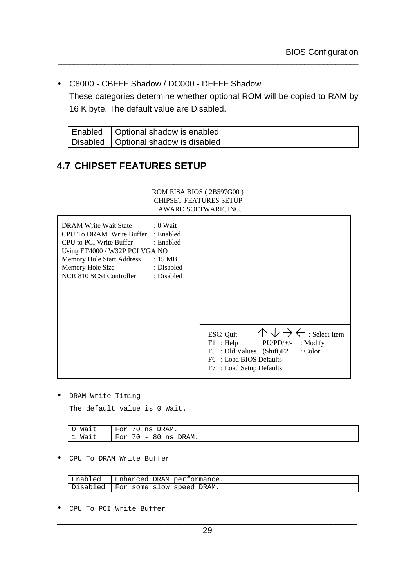• C8000 - CBFFF Shadow / DC000 - DFFFF Shadow

These categories determine whether optional ROM will be copied to RAM by 16 K byte. The default value are Disabled.

\_\_\_\_\_\_\_\_\_\_\_\_\_\_\_\_\_\_\_\_\_\_\_\_\_\_\_\_\_\_\_\_\_\_\_\_\_\_\_\_\_\_\_\_\_\_\_\_\_\_\_\_\_\_\_\_\_\_\_\_\_\_\_\_\_\_\_\_\_\_\_\_\_\_\_\_\_\_

| Enabled   Optional shadow is enabled   |
|----------------------------------------|
| Disabled   Optional shadow is disabled |

# **4.7 CHIPSET FEATURES SETUP**

#### ROM EISA BIOS ( 2B597G00 ) CHIPSET FEATURES SETUP AWARD SOFTWARE, INC.

| DRAM Write Wait State : 0 Wait<br>CPU To DRAM Write Buffer : Enabled<br>CPU to PCI Write Buffer : Enabled<br>Using ET4000 / W32P PCI VGA NO<br>Memory Hole Start Address : 15 MB<br>Memory Hole Size<br>: Disabled<br>NCR 810 SCSI Controller<br>: Disabled |                                                                                                                                                                                                     |
|-------------------------------------------------------------------------------------------------------------------------------------------------------------------------------------------------------------------------------------------------------------|-----------------------------------------------------------------------------------------------------------------------------------------------------------------------------------------------------|
|                                                                                                                                                                                                                                                             | $\wedge \vee \rightarrow \leftarrow$ : Select Item<br>ESC: Quit<br>F1 : Help<br>$PU/PD/+/-$ : Modify<br>F5 : Old Values (Shift)F2<br>: Color<br>F6 : Load BIOS Defaults<br>F7 : Load Setup Defaults |

• DRAM Write Timing

The default value is 0 Wait.

| Wait | DRAM.<br>$F \cap r$<br>ns                                                |
|------|--------------------------------------------------------------------------|
| Wait | 70<br>$F \cap r$<br>DRAM.<br>ns<br>8 ບ<br>$\overline{\phantom{m}}$<br>◡∸ |

• CPU To DRAM Write Buffer

| Enabled   Enhanced DRAM performance. |
|--------------------------------------|
| Disabled   For some slow speed DRAM. |

• CPU To PCI Write Buffer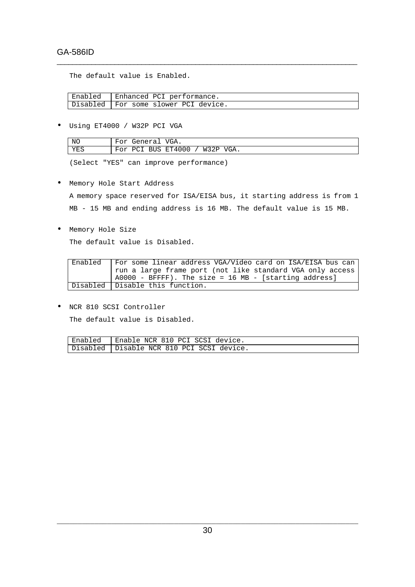The default value is Enabled.

| Enabled   Enhanced PCI performance.    |
|----------------------------------------|
| Disabled   For some slower PCI device. |

\_\_\_\_\_\_\_\_\_\_\_\_\_\_\_\_\_\_\_\_\_\_\_\_\_\_\_\_\_\_\_\_\_\_\_\_\_\_\_\_\_\_\_\_\_\_\_\_\_\_\_\_\_\_\_\_\_\_\_\_\_\_\_\_\_\_\_\_\_\_\_\_\_\_\_\_\_\_

• Using ET4000 / W32P PCI VGA

| NC  | For General VGA.               |
|-----|--------------------------------|
| YES | For PCI BUS ET4000 / W32P VGA. |

(Select "YES" can improve performance)

• Memory Hole Start Address

A memory space reserved for ISA/EISA bus, it starting address is from 1 MB - 15 MB and ending address is 16 MB. The default value is 15 MB.

• Memory Hole Size

The default value is Disabled.

| Enabled | For some linear address VGA/Video card on ISA/EISA bus can |
|---------|------------------------------------------------------------|
|         | run a large frame port (not like standard VGA only access  |
|         | $A0000 - BFFFF)$ . The size = 16 MB - [starting address]   |
|         | Disabled   Disable this function.                          |

• NCR 810 SCSI Controller The default value is Disabled.

| Enabled   Enable NCR 810 PCI SCSI device.   |
|---------------------------------------------|
| Disabled   Disable NCR 810 PCI SCSI device. |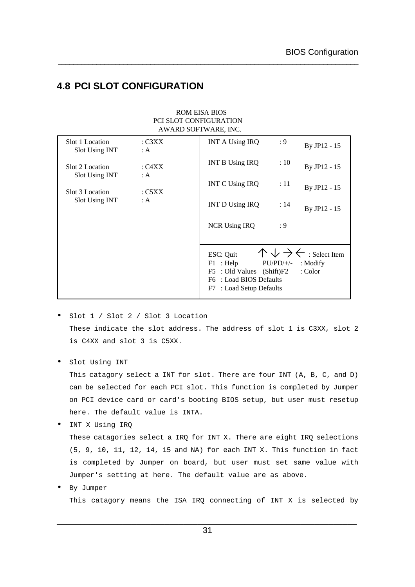# **4.8 PCI SLOT CONFIGURATION**

#### ROM EISA BIOS PCI SLOT CONFIGURATION AWARD SOFTWARE, INC.

\_\_\_\_\_\_\_\_\_\_\_\_\_\_\_\_\_\_\_\_\_\_\_\_\_\_\_\_\_\_\_\_\_\_\_\_\_\_\_\_\_\_\_\_\_\_\_\_\_\_\_\_\_\_\_\_\_\_\_\_\_\_\_\_\_\_\_\_\_\_\_\_\_\_\_\_\_\_

| Slot 1 Location<br>Slot Using INT | $:$ C3XX<br>: $A$ | <b>INT A Using IRQ</b><br>: 9                                                                                                  | By JP12 - 15                                                              |
|-----------------------------------|-------------------|--------------------------------------------------------------------------------------------------------------------------------|---------------------------------------------------------------------------|
| Slot 2 Location                   | : C $4XX$         | <b>INT B Using IRQ</b><br>:10                                                                                                  | By JP12 - 15                                                              |
| Slot Using INT<br>Slot 3 Location | : $A$<br>: C5XX   | <b>INT C Using IRQ</b><br>:11                                                                                                  | By JP12 - 15                                                              |
| Slot Using INT                    | : A               | <b>INT D Using IRQ</b><br>: 14                                                                                                 | By JP12 - 15                                                              |
|                                   |                   | <b>NCR Using IRQ</b><br>: 9                                                                                                    |                                                                           |
|                                   |                   |                                                                                                                                |                                                                           |
|                                   |                   | ESC: Quit<br>$F1$ : Help<br>$PU/PD/+/-$<br>F5 : Old Values (Shift)F2<br>F6 : Load BIOS Defaults<br>: Load Setup Defaults<br>F7 | $\wedge \vee \rightarrow \leftarrow$ : Select Item<br>: Modify<br>: Color |

- Slot 1 / Slot 2 / Slot 3 Location These indicate the slot address. The address of slot 1 is C3XX, slot 2 is C4XX and slot 3 is C5XX.
- Slot Using INT

This catagory select a INT for slot. There are four INT (A, B, C, and D) can be selected for each PCI slot. This function is completed by Jumper on PCI device card or card's booting BIOS setup, but user must resetup here. The default value is INTA.

- INT X Using IRQ These catagories select a IRQ for INT X. There are eight IRQ selections (5, 9, 10, 11, 12, 14, 15 and NA) for each INT X. This function in fact is completed by Jumper on board, but user must set same value with Jumper's setting at here. The default value are as above.
- By Jumper

This catagory means the ISA IRQ connecting of INT X is selected by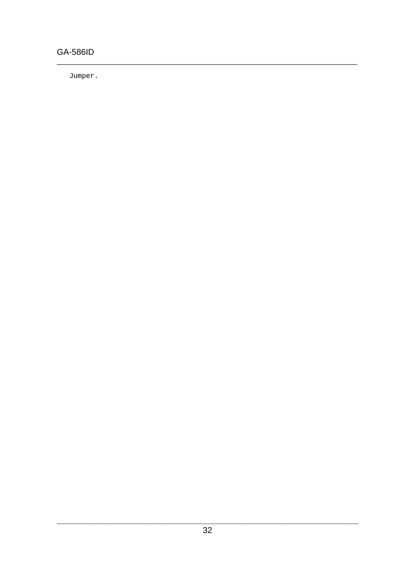# **GA-586ID**

Jumper.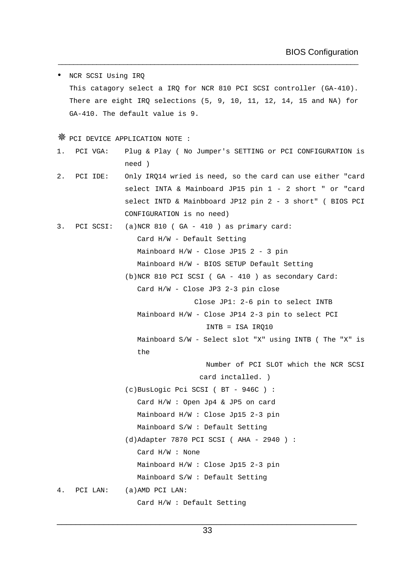• NCR SCSI Using IRQ This catagory select a IRQ for NCR 810 PCI SCSI controller (GA-410). There are eight IRQ selections (5, 9, 10, 11, 12, 14, 15 and NA) for GA-410. The default value is 9.

\_\_\_\_\_\_\_\_\_\_\_\_\_\_\_\_\_\_\_\_\_\_\_\_\_\_\_\_\_\_\_\_\_\_\_\_\_\_\_\_\_\_\_\_\_\_\_\_\_\_\_\_\_\_\_\_\_\_\_\_\_\_\_\_\_\_\_\_\_\_\_\_\_\_\_\_\_\_

Ø PCI DEVICE APPLICATION NOTE :

- 1. PCI VGA: Plug & Play ( No Jumper's SETTING or PCI CONFIGURATION is need )
- 2. PCI IDE: Only IRQ14 wried is need, so the card can use either "card select INTA & Mainboard JP15 pin 1 - 2 short " or "card select INTD & Mainbboard JP12 pin 2 - 3 short" ( BIOS PCI CONFIGURATION is no need)
- 3. PCI SCSI: (a)NCR 810 ( GA 410 ) as primary card: Card H/W - Default Setting Mainboard H/W - Close JP15 2 - 3 pin Mainboard H/W - BIOS SETUP Default Setting (b)NCR 810 PCI SCSI ( GA - 410 ) as secondary Card:
	- Card H/W Close JP3 2-3 pin close

Close JP1: 2-6 pin to select INTB

Mainboard H/W - Close JP14 2-3 pin to select PCI

INTB = ISA IRQ10

Mainboard S/W - Select slot "X" using INTB ( The "X" is the

Number of PCI SLOT which the NCR SCSI

card inctalled. )

(c)BusLogic Pci SCSI ( BT - 946C ) : Card H/W : Open Jp4 & JP5 on card Mainboard H/W : Close Jp15 2-3 pin Mainboard S/W : Default Setting (d)Adapter 7870 PCI SCSI ( AHA - 2940 ) : Card H/W : None Mainboard H/W : Close Jp15 2-3 pin Mainboard S/W : Default Setting 4. PCI LAN: (a)AMD PCI LAN:

Card H/W : Default Setting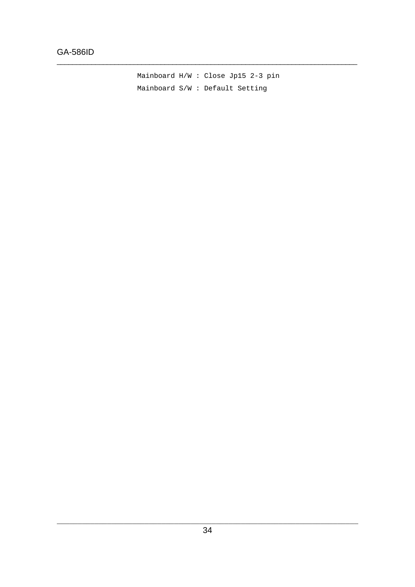Mainboard  $H/W$  : Close Jp15 2-3 pin Mainboard S/W : Default Setting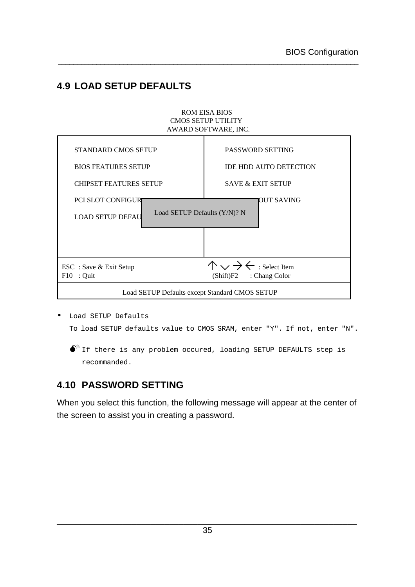# **4.9 LOAD SETUP DEFAULTS**

#### ROM EISA BIOS CMOS SETUP UTILITY AWARD SOFTWARE, INC. STANDARD CMOS SETUP BIOS FEATURES SETUP CHIPSET FEATURES SETUP PASSWORD SETTING IDE HDD AUTO DETECTION SAVE & EXIT SETUP

\_\_\_\_\_\_\_\_\_\_\_\_\_\_\_\_\_\_\_\_\_\_\_\_\_\_\_\_\_\_\_\_\_\_\_\_\_\_\_\_\_\_\_\_\_\_\_\_\_\_\_\_\_\_\_\_\_\_\_\_\_\_\_\_\_\_\_\_\_\_\_\_\_\_\_\_\_\_

| CHII SET TEATURES SETUI                                                       | $54.72 \& L/M1.5L101$                                                           |  |  |  |
|-------------------------------------------------------------------------------|---------------------------------------------------------------------------------|--|--|--|
| PCI SLOT CONFIGURE<br>Load SETUP Defaults (Y/N)? N<br><b>LOAD SETUP DEFAU</b> | IOUT SAVING                                                                     |  |  |  |
|                                                                               |                                                                                 |  |  |  |
| ESC : Save & Exit Setup<br>$F10$ : Quit                                       | $\wedge \vee \rightarrow \leftarrow$ : Select Item<br>$(Shift)F2$ : Chang Color |  |  |  |
| Load SETUP Defaults except Standard CMOS SETUP                                |                                                                                 |  |  |  |

• Load SETUP Defaults To load SETUP defaults value to CMOS SRAM, enter "Y". If not, enter "N".

 $\bullet^*$  If there is any problem occured, loading SETUP DEFAULTS step is recommanded.

# **4.10 PASSWORD SETTING**

When you select this function, the following message will appear at the center of the screen to assist you in creating a password.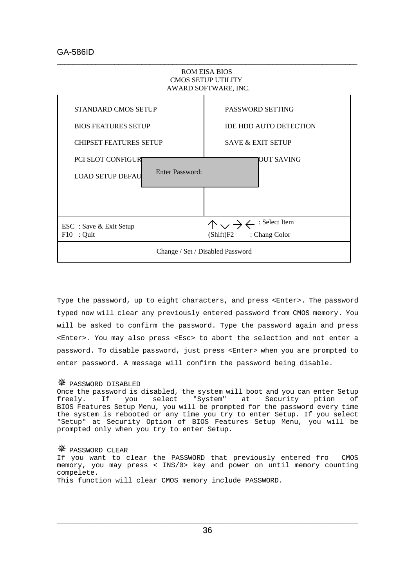

Type the password, up to eight characters, and press <Enter>. The password typed now will clear any previously entered password from CMOS memory. You will be asked to confirm the password. Type the password again and press <Enter>. You may also press <Esc> to abort the selection and not enter a password. To disable password, just press <Enter> when you are prompted to enter password. A message will confirm the password being disable.

#### Ø PASSWORD DISABLED

Once the password is disabled, the system will boot and you can enter Setup freely. If you select "System" at Security ption of BIOS Features Setup Menu, you will be prompted for the password every time the system is rebooted or any time you try to enter Setup. If you select "Setup" at Security Option of BIOS Features Setup Menu, you will be prompted only when you try to enter Setup.

#### Ø PASSWORD CLEAR

If you want to clear the PASSWORD that previously entered fro CMOS memory, you may press < INS/0> key and power on until memory counting compelete. This function will clear CMOS memory include PASSWORD.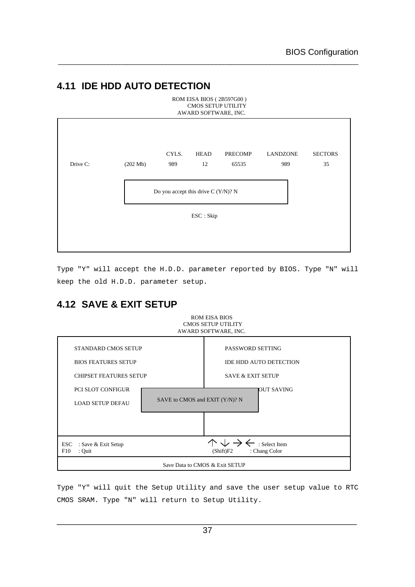# **4.11 IDE HDD AUTO DETECTION**

| ROM EISA BIOS (2B597G00)<br><b>CMOS SETUP UTILITY</b><br>AWARD SOFTWARE, INC. |                    |                                     |                   |                         |                        |                      |
|-------------------------------------------------------------------------------|--------------------|-------------------------------------|-------------------|-------------------------|------------------------|----------------------|
| Drive C:                                                                      | $(202 \text{ Mb})$ | CYLS.<br>989                        | <b>HEAD</b><br>12 | <b>PRECOMP</b><br>65535 | <b>LANDZONE</b><br>989 | <b>SECTORS</b><br>35 |
|                                                                               |                    | Do you accept this drive C (Y/N)? N |                   |                         |                        |                      |
|                                                                               |                    |                                     | ESC: Skip         |                         |                        |                      |
|                                                                               |                    |                                     |                   |                         |                        |                      |

\_\_\_\_\_\_\_\_\_\_\_\_\_\_\_\_\_\_\_\_\_\_\_\_\_\_\_\_\_\_\_\_\_\_\_\_\_\_\_\_\_\_\_\_\_\_\_\_\_\_\_\_\_\_\_\_\_\_\_\_\_\_\_\_\_\_\_\_\_\_\_\_\_\_\_\_\_\_

Type "Y" will accept the H.D.D. parameter reported by BIOS. Type "N" will keep the old H.D.D. parameter setup.

ROM EISA BIOS

# **4.12 SAVE & EXIT SETUP**

|                                                                                                                       | <b>CMOS SETUP UTILITY</b><br>AWARD SOFTWARE, INC.                                                       |  |  |
|-----------------------------------------------------------------------------------------------------------------------|---------------------------------------------------------------------------------------------------------|--|--|
| <b>STANDARD CMOS SETUP</b><br><b>BIOS FEATURES SETUP</b><br><b>CHIPSET FEATURES SETUP</b><br><b>PCI SLOT CONFIGUR</b> | PASSWORD SETTING<br><b>IDE HDD AUTO DETECTION</b><br><b>SAVE &amp; EXIT SETUP</b><br><b>IOUT SAVING</b> |  |  |
| <b>LOAD SETUP DEFAU</b>                                                                                               | SAVE to CMOS and EXIT (Y/N)? N                                                                          |  |  |
|                                                                                                                       |                                                                                                         |  |  |
| <b>ESC</b><br>: Save & Exit Setup<br>F10<br>: Quit                                                                    | $\downarrow$ $\rightarrow$ $\leftarrow$ : Select Item<br>: Chang Color<br>(Shift)F2                     |  |  |
| Save Data to CMOS & Exit SETUP                                                                                        |                                                                                                         |  |  |

Type "Y" will quit the Setup Utility and save the user setup value to RTC CMOS SRAM. Type "N" will return to Setup Utility.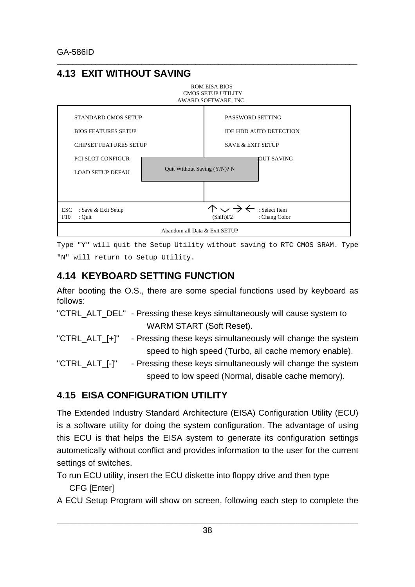# **4.13 EXIT WITHOUT SAVING**



\_\_\_\_\_\_\_\_\_\_\_\_\_\_\_\_\_\_\_\_\_\_\_\_\_\_\_\_\_\_\_\_\_\_\_\_\_\_\_\_\_\_\_\_\_\_\_\_\_\_\_\_\_\_\_\_\_\_\_\_\_\_\_\_\_\_\_\_\_\_\_\_\_\_\_\_\_\_

Type "Y" will quit the Setup Utility without saving to RTC CMOS SRAM. Type "N" will return to Setup Utility.

# **4.14 KEYBOARD SETTING FUNCTION**

After booting the O.S., there are some special functions used by keyboard as follows:

- "CTRL\_ALT\_DEL" Pressing these keys simultaneously will cause system to WARM START (Soft Reset).
- "CTRL\_ALT\_[+]" Pressing these keys simultaneously will change the system speed to high speed (Turbo, all cache memory enable).
- "CTRL\_ALT\_[-]" Pressing these keys simultaneously will change the system speed to low speed (Normal, disable cache memory).

# **4.15 EISA CONFIGURATION UTILITY**

The Extended Industry Standard Architecture (EISA) Configuration Utility (ECU) is a software utility for doing the system configuration. The advantage of using this ECU is that helps the EISA system to generate its configuration settings autometically without conflict and provides information to the user for the current settings of switches.

To run ECU utility, insert the ECU diskette into floppy drive and then type CFG [Enter]

A ECU Setup Program will show on screen, following each step to complete the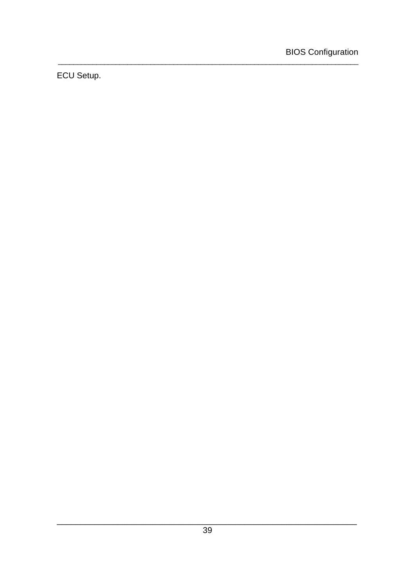ECU Setup.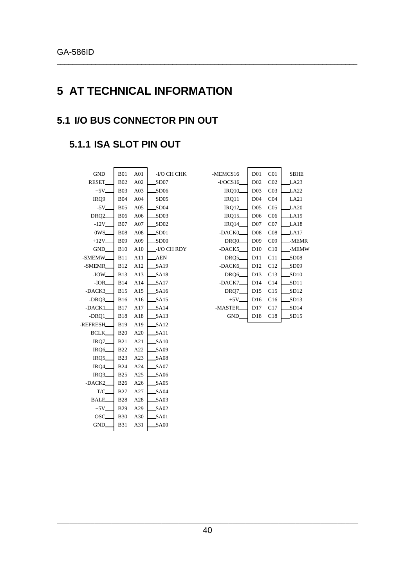# **5 AT TECHNICAL INFORMATION**

\_\_\_\_\_\_\_\_\_\_\_\_\_\_\_\_\_\_\_\_\_\_\_\_\_\_\_\_\_\_\_\_\_\_\_\_\_\_\_\_\_\_\_\_\_\_\_\_\_\_\_\_\_\_\_\_\_\_\_\_\_\_\_\_\_\_\_\_\_\_\_\_\_\_\_\_\_\_

# **5.1 I/O BUS CONNECTOR PIN OUT**

# **5.1.1 ISA SLOT PIN OUT**

| GND_                | <b>B01</b>  | A <sub>01</sub> | -I/O CH CHK      |
|---------------------|-------------|-----------------|------------------|
| <b>RESET</b>        | <b>B02</b>  | A02             | SD07             |
| $+5V$               | <b>B03</b>  | A03             | SD06             |
| IRQ9_               | <b>B04</b>  | A <sub>04</sub> | SD <sub>05</sub> |
| $-5V$               | <b>B05</b>  | A05             | SD04             |
| DRQ <sub>2</sub>    | <b>B06</b>  | A06             | SD03             |
| $-12V$              | <b>B07</b>  | A07             | SD02             |
| 0WS_                | <b>B08</b>  | A08             | SD01             |
| $+12V$              | <b>B09</b>  | A09             | SD <sub>00</sub> |
| GND                 | <b>B10</b>  | A10             | -I/O CH RDY      |
| -SMEMW_             | B11         | A11             | <b>AEN</b>       |
| -SMEMR              | B12         | A12             | SA19             |
| $-IOW$              | <b>B</b> 13 | A13             | SA18             |
| $-IOR$              | <b>B14</b>  | A14             | SA17             |
| -DACK3              |             | B15 A15         | SA16             |
| -DRO3_              |             | B16 A16         | SA15             |
| $-$ DACK $1$        | <b>B</b> 17 | A17             | SA14             |
| $-DRQ1$             | <b>B18</b>  | A18             | SA13             |
| -REFRESH_           | <b>B</b> 19 | A19             | SA12             |
| BCLK_               | B20         | A20             | SA11             |
| $IRQ7$ <sub>-</sub> | B21         | A21             | SA10             |
| IRQ6                | B22         | A22             | SA09             |
| IRQ5                | <b>B23</b>  | A23             | <b>SA08</b>      |
| IRQ4                | <b>B24</b>  | A24             | SA07             |
| IRQ3_               | <b>B25</b>  | A25             | <b>SA06</b>      |
| -DACK2              | <b>B26</b>  | A26             | SA05             |
| T/C                 | <b>B27</b>  | A27             | SA04             |
| <b>BALE</b>         | B28         | A28             | <b>SA03</b>      |
| $+5V$               | <b>B29</b>  | A29             | SA02             |
| OSC.                | <b>B30</b>  | A30             | SA01             |
| GND_                | <b>B31</b>  | A31             | SA00             |
|                     |             |                 |                  |

| -MEMCS16             | D <sub>01</sub> | CO <sub>1</sub> | SBHE  |
|----------------------|-----------------|-----------------|-------|
| $-VOCS16$            | D <sub>02</sub> | CO <sub>2</sub> | LA23  |
| IRQ10                | D <sub>03</sub> | CO <sub>3</sub> | LA22  |
| $IRQ11$ <sub>-</sub> | D <sub>04</sub> | CO <sub>4</sub> | LA21  |
| <b>IRQ12_</b>        | D <sub>05</sub> | CO <sub>5</sub> | LA20  |
| IRQ15_               | D <sub>06</sub> | C <sub>06</sub> | LA19  |
| <b>IRQ14</b>         | D <sub>07</sub> | CO7             | LA18  |
| -DACK0 <sub>-</sub>  | D <sub>08</sub> | CO8             | J.A17 |
| DRQ0                 | D <sub>09</sub> | CO9             | -MEMR |
| -DACK5               | D10             | C10             | -MEMW |
| DRQ5_                | D11             | C11             | SD08  |
| -DACK6               | D12             | C12             | SD09  |
| DRQ6_                | D13             | C13             | SD10  |
| -DACK7_              | D14             | C14             | SD11  |
| DRQ7_                | D15             | C15             | SD12  |
| $+5V$                | D16             | C16             | SD13  |
| -MASTER_             | D17             | C17             | SD14  |
| GND.                 | D18             | C18             | SD15  |
|                      |                 |                 |       |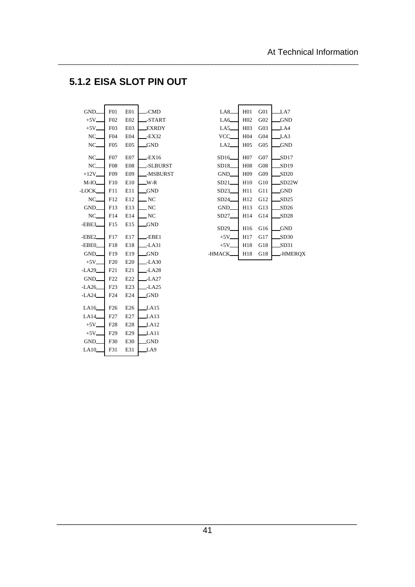# **5.1.2 EISA SLOT PIN OUT**

 $\overline{\phantom{0}}$ 

 $\mathbf{r}$ 

| GND                             | F01              | E01              | __-CMD                                  |
|---------------------------------|------------------|------------------|-----------------------------------------|
| $+5V$ <sub>--</sub>             | F <sub>02</sub>  | E02              | _-START                                 |
| $+5V$ <sub>-</sub>              | F03              | E <sub>03</sub>  | _EXRDY                                  |
| $NC_{\underline{\hspace{1cm}}}$ | F04              | E04              | $-EX32$                                 |
| $NC_{-}$                        | F05              | E05              | _GND                                    |
| $NC_{-}$                        | F07              | E <sub>0</sub> 7 | -EX16                                   |
| $NC_{-}$                        | F <sub>0</sub> 8 | <b>E08</b>       | _-SLBURST                               |
| $+12V$ <sub>-</sub>             | F09              | E09              | _-MSBURST                               |
| $M$ -IO $\_\$                   | F10              | E10              | $W-R$                                   |
| -LOCK_                          | F11              | E11              | _GND                                    |
| $NC_{-}$                        | F12              | E12              | $\mathbb{C}^{\mathop{\rm NC}\nolimits}$ |
| GND                             | F13              | E13              | $\_$ NC $\,$                            |
| $NC_{-}$                        | F14              | E14              | $\overline{\phantom{a}}$ NC             |
| $-EBE3$                         | F15              | E15              | _GND                                    |
| $-EBE2$                         | F17              | E17              | -EBE1                                   |
| $-EBE0$                         | F18              | E18              | _-LA31                                  |
| GND_                            | F19              | E19              | _GND                                    |
| $+5V$ <sub>-</sub>              | F20              | E20              | _-LA30                                  |
| $-LA29$                         | F21              | E21              | -LA28                                   |
| GND                             | F22              | E22              | _-LA27                                  |
| $-LA26$                         | F23              | E23              | -LA25                                   |
| $-LA24$                         | F24              | E24              | <b>GND</b>                              |
| LA16                            | F26              | E26              | LA15                                    |
| LA14                            | F27              | E27              | LA13                                    |
| $+5V$                           | F28              | E <sub>28</sub>  | $\pm$ A12                               |
| $+5V$                           | F29              | E29              | LA11                                    |
|                                 | F30              | E30              |                                         |
| GND_                            |                  |                  | <b>GND</b>                              |
| LA10                            | F31              | E31              | LA9                                     |

| LA8                 | H <sub>01</sub> | G <sub>01</sub> | J.A7       |
|---------------------|-----------------|-----------------|------------|
| LA6                 | H <sub>02</sub> | G <sub>02</sub> | <b>GND</b> |
| LA5                 | H <sub>03</sub> | G03             | LA4        |
| VCC_                | H <sub>04</sub> | G <sub>04</sub> | LA3        |
| LA <sub>2</sub>     | H <sub>05</sub> | G <sub>05</sub> | .GND       |
|                     |                 |                 |            |
| SD16                | H <sub>07</sub> | G07             | SD17       |
| SD18.               | H <sub>08</sub> | G08             | SD19       |
| GND_                | H09             | G09             | SD20       |
| SD21                | H <sub>10</sub> | G10             | SD22W      |
| SD23_               | H <sub>11</sub> | G11             | <b>GND</b> |
| SD24                | H12             | G12             | SD25       |
| GND_                | H <sub>13</sub> | G13             | SD26       |
| $SD27$ <sub>-</sub> | H <sub>14</sub> | G14             | SD28       |
|                     |                 |                 |            |
| SD29 <sub>-</sub>   | H <sub>16</sub> | G16             | _GND       |
| $+5V_{-}$           | H <sub>17</sub> | G17             | SD30       |
| $+5V$               | H18             | G18             | SD31       |
| -HMACK              | H18             | G18             | -HMEROX    |
|                     |                 |                 |            |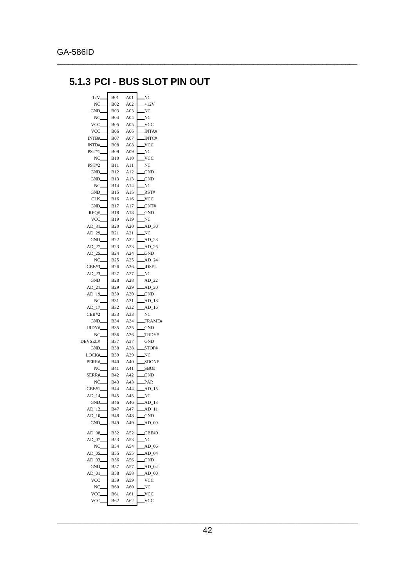# **5.1.3 PCI - BUS SLOT PIN OUT**

| $-12V$ <sub>-</sub> | <b>B01</b>               | A01        | NC                   |
|---------------------|--------------------------|------------|----------------------|
| NC.                 | <b>B02</b>               | A02        | $+12V$               |
| GND_                | <b>B03</b>               | A03        | NC                   |
| NC.                 | <b>B04</b>               | A04        | NC                   |
| VCC.                | <b>B05</b>               | A05        | VCC.                 |
| VCC.                | <b>B06</b>               | A06        | NTA#                 |
| INTB#               | <b>B07</b>               | A07        | <b>INTC#</b>         |
| INTD#               | <b>B08</b>               | A08        | VCC                  |
| <b>PST#1</b>        | <b>B09</b>               | A09        | NC                   |
| NC.                 | B10                      | A10        | <b>VCC</b>           |
| PST#2_              | <b>B11</b>               | A11        | NC                   |
| GND_                | <b>B12</b>               | A12        | GND                  |
| GND_                | <b>B13</b>               | A13        | <b>GND</b>           |
| NC                  | <b>B14</b>               | A14        | $_{\rm NC}$          |
| GND.                | <b>B15</b>               | A15        | RST#                 |
| CLK                 | <b>B16</b>               | A16        | VCC.                 |
| GND_                | <b>B17</b>               | A17        | GNT#                 |
| REO#                | <b>B18</b>               | A18        | GND                  |
| VCC.                | <b>B19</b>               | A19        | NC                   |
| $AD_31$             | <b>B20</b>               | A20        | $AD_30$              |
| AD_29               | <b>B21</b>               | A21        | NC                   |
| GND_                | <b>B22</b>               | A22        | AD <sub>28</sub>     |
| AD 27               | <b>B23</b>               | A23        | $AD_26$              |
| AD 25               | <b>B24</b>               | A24        | $_{\rm GND}$         |
| NC                  | <b>B25</b>               | A25        | AD 24                |
| CBE#3               | <b>B26</b>               | A26        | <b>IDSEL</b>         |
| AD 23               | <b>B27</b>               | A27        | NC                   |
| GND_                | <b>B28</b>               | A28        | $AD_22$              |
| AD 21               | <b>B29</b>               | A29        | $AD_20$              |
| AD_19               | <b>B30</b>               | A30        | <b>GND</b>           |
| NC.                 | <b>B31</b>               | A31        | AD <sub>18</sub>     |
| $AD_17$             | <b>B32</b>               | A32        | $AD_16$              |
| <b>CEB#2</b>        | <b>B33</b>               | A33        | $_{\rm NC}$          |
| GND_                | B34                      | A34        | FRAME#               |
| IRDY#               | <b>B35</b>               | A35        | GND.                 |
| NC_                 | <b>B36</b>               | A36        | TRDY#                |
| DEVSEL#             | <b>B37</b>               | A37        | <b>GND</b>           |
| GND.                | <b>B38</b>               | A38        | STOP#                |
| LOCK#<br>PERR#      | <b>B39</b><br><b>B40</b> | A39<br>A40 | NC                   |
| NC.                 | <b>B41</b>               | A41        | <b>SDONE</b><br>SBO# |
| SERR#               | <b>B42</b>               | A42        | <b>GND</b>           |
| NC                  | <b>B43</b>               | A43        | PAR                  |
| CBE#1.              | <b>B44</b>               | A44        | AD_15                |
| AD 14               | <b>B45</b>               | A45        | $_{\rm NC}$          |
| GND.                | <b>B</b> 46              | A46        | AD_13                |
| AD_12               | B47                      | A47        | $AD_11$              |
| AD 10_              | B48                      | A48        | GND.                 |
| GND_                | <b>B49</b>               | A49        | $AD$ 09              |
|                     |                          |            |                      |
| AD_08               | <b>B52</b>               | A52        | CBE#0                |
| AD 07               | <b>B53</b>               | A53        | NC                   |
| NC                  | <b>B54</b>               | A54        | $AD_06$              |
| $AD_05$             | <b>B55</b>               | A55        | $AD_04$              |
| AD_03               | <b>B56</b>               | A56        | GND                  |
| GND.                | <b>B57</b>               | A57        | $AD$ 02              |
| $AD_01$             | <b>B58</b>               | A58        | $AD_0$               |
| VCC.                | <b>B59</b>               | A59        | VCC.                 |
| NC.                 | <b>B60</b>               | A60        | NC                   |
| VCC.                | B61                      | A61        | VCC.                 |
| VCC.                | <b>B62</b>               | A62        | VCC,                 |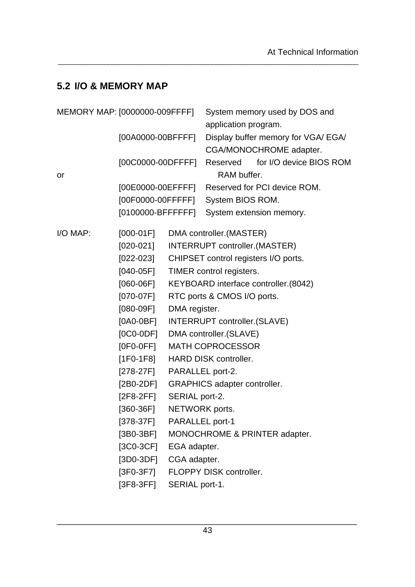# **5.2 I/O & MEMORY MAP**

| MEMORY MAP: [0000000-009FFFF] |                     |                                      |                                      | System memory used by DOS and       |  |  |
|-------------------------------|---------------------|--------------------------------------|--------------------------------------|-------------------------------------|--|--|
|                               |                     |                                      | application program.                 |                                     |  |  |
| [00A0000-00BFFFF]             |                     |                                      |                                      | Display buffer memory for VGA/ EGA/ |  |  |
|                               |                     |                                      |                                      | CGA/MONOCHROME adapter.             |  |  |
|                               | $[00C0000-00DFFFF]$ |                                      |                                      | Reserved for I/O device BIOS ROM    |  |  |
| or                            |                     |                                      | RAM buffer.                          |                                     |  |  |
|                               | [00E0000-00EFFFF]   |                                      |                                      | Reserved for PCI device ROM.        |  |  |
|                               | [00F0000-00FFFFF]   |                                      | System BIOS ROM.                     |                                     |  |  |
|                               | $[0100000-BFFFFF]$  |                                      |                                      | System extension memory.            |  |  |
| I/O MAP:                      | $[000-01F]$         |                                      | DMA controller. (MASTER)             |                                     |  |  |
|                               | $[020 - 021]$       |                                      | INTERRUPT controller.(MASTER)        |                                     |  |  |
|                               | $[022-023]$         | CHIPSET control registers I/O ports. |                                      |                                     |  |  |
|                               | $[040-05F]$         | TIMER control registers.             |                                      |                                     |  |  |
|                               | $[060-06F]$         | KEYBOARD interface controller.(8042) |                                      |                                     |  |  |
|                               | $[070-07F]$         | RTC ports & CMOS I/O ports.          |                                      |                                     |  |  |
|                               | $[080-09F]$         | DMA register.                        |                                      |                                     |  |  |
|                               | $[0A0-0BF]$         |                                      | <b>INTERRUPT controller. (SLAVE)</b> |                                     |  |  |
|                               | $[0C0-0DF]$         | DMA controller. (SLAVE)              |                                      |                                     |  |  |
|                               | $[0F0-0FF]$         |                                      | <b>MATH COPROCESSOR</b>              |                                     |  |  |
|                               | $[1F0-1F8]$         |                                      | HARD DISK controller.                |                                     |  |  |
|                               | [278-27F]           | PARALLEL port-2.                     |                                      |                                     |  |  |
|                               | $[2B0-2DF]$         |                                      | <b>GRAPHICS adapter controller.</b>  |                                     |  |  |
|                               | $[2F8-2FF]$         | SERIAL port-2.                       |                                      |                                     |  |  |
|                               | [360-36F]           | NETWORK ports.                       |                                      |                                     |  |  |
|                               | $[378-37F]$         | PARALLEL port-1                      |                                      |                                     |  |  |
|                               | $[3B0-3BF]$         |                                      |                                      | MONOCHROME & PRINTER adapter.       |  |  |
|                               | $[3C0-3CF]$         | EGA adapter.                         |                                      |                                     |  |  |
|                               | $[3D0-3DF]$         | CGA adapter.                         |                                      |                                     |  |  |
|                               | $[3F0-3F7]$         |                                      | FLOPPY DISK controller.              |                                     |  |  |
|                               | $[3F8-3FF]$         | SERIAL port-1.                       |                                      |                                     |  |  |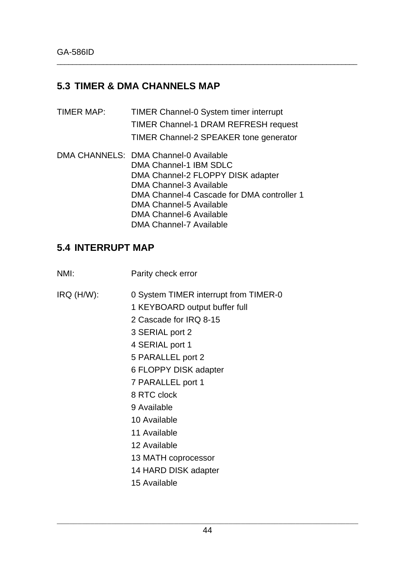# **5.3 TIMER & DMA CHANNELS MAP**

TIMER MAP: TIMER Channel-0 System timer interrupt TIMER Channel-1 DRAM REFRESH request TIMER Channel-2 SPEAKER tone generator DMA CHANNELS: DMA Channel-0 Available

\_\_\_\_\_\_\_\_\_\_\_\_\_\_\_\_\_\_\_\_\_\_\_\_\_\_\_\_\_\_\_\_\_\_\_\_\_\_\_\_\_\_\_\_\_\_\_\_\_\_\_\_\_\_\_\_\_\_\_\_\_\_\_\_\_\_\_\_\_\_\_\_\_\_\_\_\_\_

DMA Channel-1 IBM SDLC DMA Channel-2 FLOPPY DISK adapter DMA Channel-3 Available DMA Channel-4 Cascade for DMA controller 1 DMA Channel-5 Available DMA Channel-6 Available DMA Channel-7 Available

# **5.4 INTERRUPT MAP**

- NMI: Parity check error
- IRQ (H/W): 0 System TIMER interrupt from TIMER-0
	- 1 KEYBOARD output buffer full
	- 2 Cascade for IRQ 8-15
	- 3 SERIAL port 2
	- 4 SERIAL port 1
	- 5 PARALLEL port 2
	- 6 FLOPPY DISK adapter
	- 7 PARALLEL port 1
	- 8 RTC clock
	- 9 Available
	- 10 Available
	- 11 Available
	- 12 Available
	- 13 MATH coprocessor
	- 14 HARD DISK adapter
	- 15 Available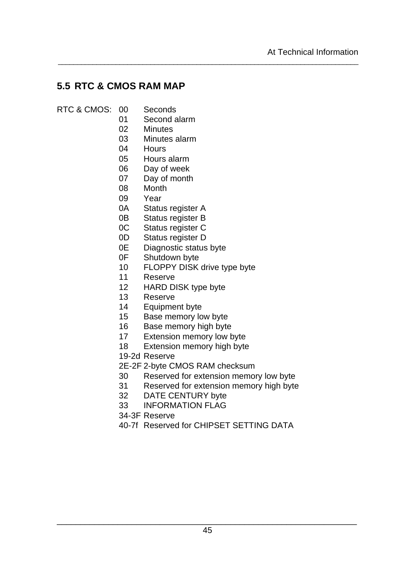# **5.5 RTC & CMOS RAM MAP**

- RTC & CMOS: 00 Seconds
	- Second alarm
	- Minutes
	- Minutes alarm
	- Hours
	- Hours alarm
	- Day of week
	- Day of month
	- Month
	- Year
	- 0A Status register A
	- 0B Status register B
	- 0C Status register C
	- 0D Status register D
	- 0E Diagnostic status byte
	- 0F Shutdown byte
	- FLOPPY DISK drive type byte

- Reserve
- HARD DISK type byte
- Reserve
- Equipment byte
- Base memory low byte
- Base memory high byte
- Extension memory low byte
- Extension memory high byte
- 19-2d Reserve
- 2E-2F 2-byte CMOS RAM checksum
- Reserved for extension memory low byte
- Reserved for extension memory high byte
- DATE CENTURY byte
- INFORMATION FLAG
- 34-3F Reserve
- 40-7f Reserved for CHIPSET SETTING DATA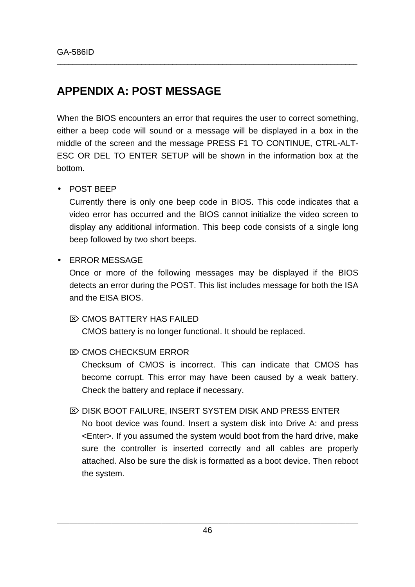# **APPENDIX A: POST MESSAGE**

When the BIOS encounters an error that requires the user to correct something, either a beep code will sound or a message will be displayed in a box in the middle of the screen and the message PRESS F1 TO CONTINUE, CTRL-ALT-ESC OR DEL TO ENTER SETUP will be shown in the information box at the bottom.

\_\_\_\_\_\_\_\_\_\_\_\_\_\_\_\_\_\_\_\_\_\_\_\_\_\_\_\_\_\_\_\_\_\_\_\_\_\_\_\_\_\_\_\_\_\_\_\_\_\_\_\_\_\_\_\_\_\_\_\_\_\_\_\_\_\_\_\_\_\_\_\_\_\_\_\_\_\_

### • POST BEEP

Currently there is only one beep code in BIOS. This code indicates that a video error has occurred and the BIOS cannot initialize the video screen to display any additional information. This beep code consists of a single long beep followed by two short beeps.

### • ERROR MESSAGE

Once or more of the following messages may be displayed if the BIOS detects an error during the POST. This list includes message for both the ISA and the EISA BIOS.

### $\overline{\infty}$  CMOS BATTERY HAS FAILED

CMOS battery is no longer functional. It should be replaced.

### $\mathbb{Z}$  CMOS CHECKSUM ERROR

Checksum of CMOS is incorrect. This can indicate that CMOS has become corrupt. This error may have been caused by a weak battery. Check the battery and replace if necessary.

### $\mathbb{Z}$  DISK BOOT FAILURE, INSERT SYSTEM DISK AND PRESS ENTER

No boot device was found. Insert a system disk into Drive A: and press <Enter>. If you assumed the system would boot from the hard drive, make sure the controller is inserted correctly and all cables are properly attached. Also be sure the disk is formatted as a boot device. Then reboot the system.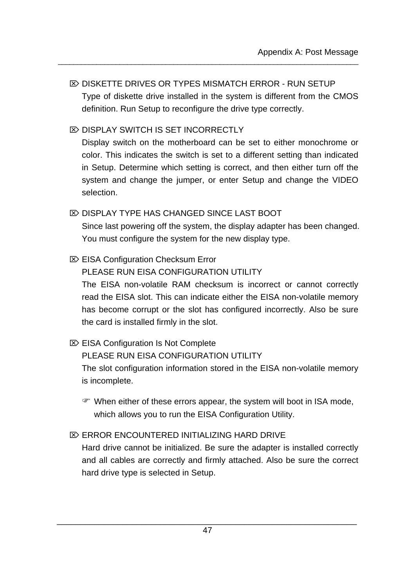# $\overline{\infty}$  DISKETTE DRIVES OR TYPES MISMATCH ERROR - RUN SETUP Type of diskette drive installed in the system is different from the CMOS definition. Run Setup to reconfigure the drive type correctly.

\_\_\_\_\_\_\_\_\_\_\_\_\_\_\_\_\_\_\_\_\_\_\_\_\_\_\_\_\_\_\_\_\_\_\_\_\_\_\_\_\_\_\_\_\_\_\_\_\_\_\_\_\_\_\_\_\_\_\_\_\_\_\_\_\_\_\_\_\_\_\_\_\_\_\_\_\_\_

# $\overline{\infty}$  DISPLAY SWITCH IS SET INCORRECTLY

Display switch on the motherboard can be set to either monochrome or color. This indicates the switch is set to a different setting than indicated in Setup. Determine which setting is correct, and then either turn off the system and change the jumper, or enter Setup and change the VIDEO selection.

# $\overline{\infty}$  DISPLAY TYPE HAS CHANGED SINCE LAST BOOT

Since last powering off the system, the display adapter has been changed. You must configure the system for the new display type.

# $\mathbb{Z}$  EISA Configuration Checksum Error

PLEASE RUN FISA CONFIGURATION UTILITY

The EISA non-volatile RAM checksum is incorrect or cannot correctly read the EISA slot. This can indicate either the EISA non-volatile memory has become corrupt or the slot has configured incorrectly. Also be sure the card is installed firmly in the slot.

# $\mathbb{Z}$  EISA Configuration Is Not Complete

PLEASE RUN EISA CONFIGURATION UTILITY The slot configuration information stored in the EISA non-volatile memory is incomplete.

F When either of these errors appear, the system will boot in ISA mode, which allows you to run the EISA Configuration Utility.

# $\mathbb{Z}$  ERROR ENCOUNTERED INITIALIZING HARD DRIVE

Hard drive cannot be initialized. Be sure the adapter is installed correctly and all cables are correctly and firmly attached. Also be sure the correct hard drive type is selected in Setup.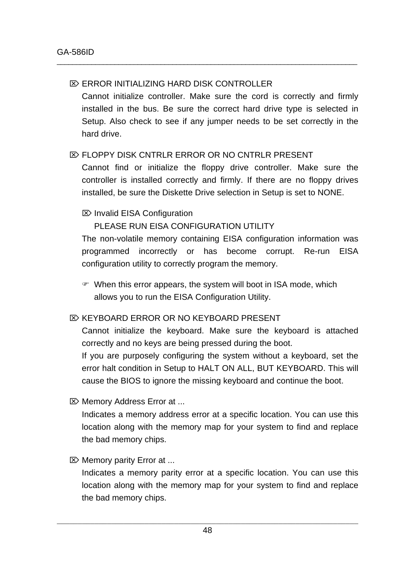### $\mathbb{Z}$  ERROR INITIALIZING HARD DISK CONTROLLER

Cannot initialize controller. Make sure the cord is correctly and firmly installed in the bus. Be sure the correct hard drive type is selected in Setup. Also check to see if any jumper needs to be set correctly in the hard drive.

\_\_\_\_\_\_\_\_\_\_\_\_\_\_\_\_\_\_\_\_\_\_\_\_\_\_\_\_\_\_\_\_\_\_\_\_\_\_\_\_\_\_\_\_\_\_\_\_\_\_\_\_\_\_\_\_\_\_\_\_\_\_\_\_\_\_\_\_\_\_\_\_\_\_\_\_\_\_

### $\overline{R}$  FLOPPY DISK CNTRLR ERROR OR NO CNTRLR PRESENT

Cannot find or initialize the floppy drive controller. Make sure the controller is installed correctly and firmly. If there are no floppy drives installed, be sure the Diskette Drive selection in Setup is set to NONE.

### $\boxtimes$  Invalid EISA Configuration

### PLEASE RUN EISA CONFIGURATION UTILITY

The non-volatile memory containing EISA configuration information was programmed incorrectly or has become corrupt. Re-run EISA configuration utility to correctly program the memory.

 $\mathcal{F}$  When this error appears, the system will boot in ISA mode, which allows you to run the EISA Configuration Utility.

### **EXACT KEYBOARD ERROR OR NO KEYBOARD PRESENT**

Cannot initialize the keyboard. Make sure the keyboard is attached correctly and no keys are being pressed during the boot.

If you are purposely configuring the system without a keyboard, set the error halt condition in Setup to HALT ON ALL, BUT KEYBOARD. This will cause the BIOS to ignore the missing keyboard and continue the boot.

 $\mathbb{Z}$  Memory Address Error at ...

Indicates a memory address error at a specific location. You can use this location along with the memory map for your system to find and replace the bad memory chips.

 $\mathbb{Z}$  Memory parity Error at ...

Indicates a memory parity error at a specific location. You can use this location along with the memory map for your system to find and replace the bad memory chips.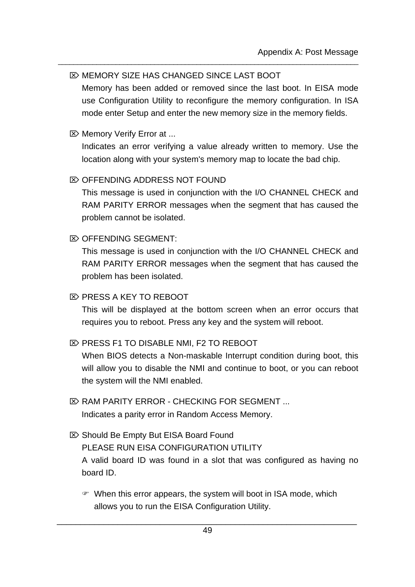### $\overline{\infty}$  MEMORY SIZE HAS CHANGED SINCE LAST BOOT

Memory has been added or removed since the last boot. In EISA mode use Configuration Utility to reconfigure the memory configuration. In ISA mode enter Setup and enter the new memory size in the memory fields.

\_\_\_\_\_\_\_\_\_\_\_\_\_\_\_\_\_\_\_\_\_\_\_\_\_\_\_\_\_\_\_\_\_\_\_\_\_\_\_\_\_\_\_\_\_\_\_\_\_\_\_\_\_\_\_\_\_\_\_\_\_\_\_\_\_\_\_\_\_\_\_\_\_\_\_\_\_\_

### $\boxtimes$  Memory Verify Error at ...

Indicates an error verifying a value already written to memory. Use the location along with your system's memory map to locate the bad chip.

### $\gg$  OFFENDING ADDRESS NOT FOUND

This message is used in conjunction with the I/O CHANNEL CHECK and RAM PARITY ERROR messages when the segment that has caused the problem cannot be isolated.

### $\mathbb{Z}$  OFFENDING SEGMENT:

This message is used in conjunction with the I/O CHANNEL CHECK and RAM PARITY ERROR messages when the segment that has caused the problem has been isolated.

### $\overline{\infty}$  PRESS A KEY TO REBOOT

This will be displayed at the bottom screen when an error occurs that requires you to reboot. Press any key and the system will reboot.

### $\otimes$  **PRESS F1 TO DISABLE NMI, F2 TO REBOOT**

When BIOS detects a Non-maskable Interrupt condition during boot, this will allow you to disable the NMI and continue to boot, or you can reboot the system will the NMI enabled.

- $\mathbb{Z}$  RAM PARITY ERROR CHECKING FOR SEGMENT ... Indicates a parity error in Random Access Memory.
- $\&$  **Should Be Empty But EISA Board Found** PLEASE RUN EISA CONFIGURATION UTILITY A valid board ID was found in a slot that was configured as having no board ID.
	- $\mathcal{F}$  When this error appears, the system will boot in ISA mode, which allows you to run the EISA Configuration Utility.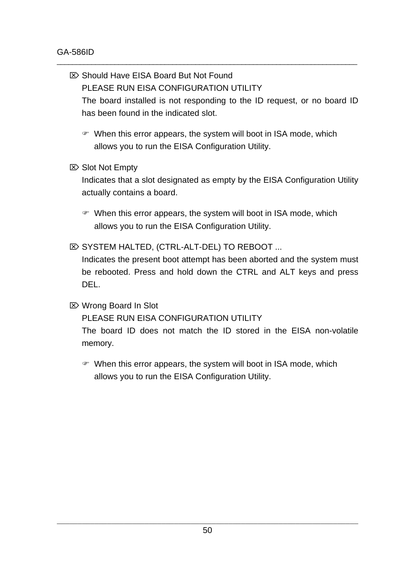■ Should Have EISA Board But Not Found PLEASE RUN EISA CONFIGURATION UTILITY The board installed is not responding to the ID request, or no board ID has been found in the indicated slot.

\_\_\_\_\_\_\_\_\_\_\_\_\_\_\_\_\_\_\_\_\_\_\_\_\_\_\_\_\_\_\_\_\_\_\_\_\_\_\_\_\_\_\_\_\_\_\_\_\_\_\_\_\_\_\_\_\_\_\_\_\_\_\_\_\_\_\_\_\_\_\_\_\_\_\_\_\_\_

- $\mathcal{F}$  When this error appears, the system will boot in ISA mode, which allows you to run the EISA Configuration Utility.
- $\boxtimes$  Slot Not Empty

Indicates that a slot designated as empty by the EISA Configuration Utility actually contains a board.

- $\mathcal{F}$  When this error appears, the system will boot in ISA mode, which allows you to run the EISA Configuration Utility.
- $\mathbb{Z}$  SYSTEM HALTED, (CTRL-ALT-DEL) TO REBOOT ...

Indicates the present boot attempt has been aborted and the system must be rebooted. Press and hold down the CTRL and ALT keys and press DEL.

 $\boxtimes$  Wrong Board In Slot

PLEASE RUN EISA CONFIGURATION UTILITY

The board ID does not match the ID stored in the EISA non-volatile memory.

 $\mathcal{F}$  When this error appears, the system will boot in ISA mode, which allows you to run the EISA Configuration Utility.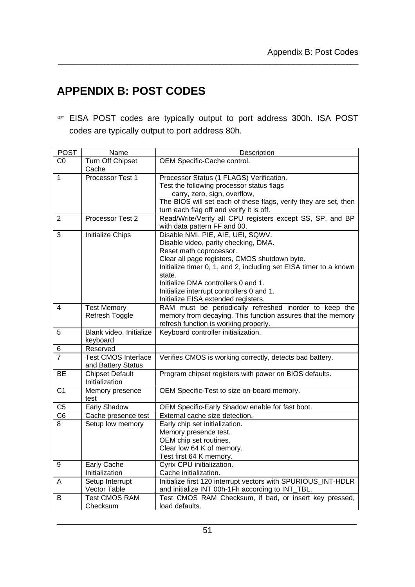# **APPENDIX B: POST CODES**

G EISA POST codes are typically output to port address 300h. ISA POST codes are typically output to port address 80h.

| <b>POST</b>    | Name                                             | Description                                                                                                                                                                                                                                                                                                                                                     |
|----------------|--------------------------------------------------|-----------------------------------------------------------------------------------------------------------------------------------------------------------------------------------------------------------------------------------------------------------------------------------------------------------------------------------------------------------------|
| C <sub>0</sub> | Turn Off Chipset<br>Cache                        | OEM Specific-Cache control.                                                                                                                                                                                                                                                                                                                                     |
| $\mathbf{1}$   | Processor Test 1                                 | Processor Status (1 FLAGS) Verification.<br>Test the following processor status flags<br>carry, zero, sign, overflow,<br>The BIOS will set each of these flags, verify they are set, then<br>turn each flag off and verify it is off.                                                                                                                           |
| $\overline{2}$ | Processor Test 2                                 | Read/Write/Verify all CPU registers except SS, SP, and BP<br>with data pattern FF and 00.                                                                                                                                                                                                                                                                       |
| 3              | Initialize Chips                                 | Disable NMI, PIE, AIE, UEI, SQWV.<br>Disable video, parity checking, DMA.<br>Reset math coprocessor.<br>Clear all page registers, CMOS shutdown byte.<br>Initialize timer 0, 1, and 2, including set EISA timer to a known<br>state.<br>Initialize DMA controllers 0 and 1.<br>Initialize interrupt controllers 0 and 1.<br>Initialize EISA extended registers. |
| 4              | <b>Test Memory</b><br>Refresh Toggle             | RAM must be periodically refreshed inorder to keep the<br>memory from decaying. This function assures that the memory<br>refresh function is working properly.                                                                                                                                                                                                  |
| 5              | Blank video, Initialize<br>keyboard              | Keyboard controller initialization.                                                                                                                                                                                                                                                                                                                             |
| 6              | Reserved                                         |                                                                                                                                                                                                                                                                                                                                                                 |
| 7              | <b>Test CMOS Interface</b><br>and Battery Status | Verifies CMOS is working correctly, detects bad battery.                                                                                                                                                                                                                                                                                                        |
| <b>BE</b>      | <b>Chipset Default</b><br>Initialization         | Program chipset registers with power on BIOS defaults.                                                                                                                                                                                                                                                                                                          |
| C <sub>1</sub> | Memory presence<br>test                          | OEM Specific-Test to size on-board memory.                                                                                                                                                                                                                                                                                                                      |
| C <sub>5</sub> | Early Shadow                                     | OEM Specific-Early Shadow enable for fast boot.                                                                                                                                                                                                                                                                                                                 |
| C <sub>6</sub> | Cache presence test                              | External cache size detection.                                                                                                                                                                                                                                                                                                                                  |
| 8              | Setup low memory                                 | Early chip set initialization.<br>Memory presence test.<br>OEM chip set routines.<br>Clear low 64 K of memory.<br>Test first 64 K memory.                                                                                                                                                                                                                       |
| 9              | Early Cache<br>Initialization                    | Cyrix CPU initialization.<br>Cache initialization.                                                                                                                                                                                                                                                                                                              |
| A              | Setup Interrupt<br>Vector Table                  | Initialize first 120 interrupt vectors with SPURIOUS_INT-HDLR<br>and initialize INT 00h-1Fh according to INT_TBL.                                                                                                                                                                                                                                               |
| B              | <b>Test CMOS RAM</b><br>Checksum                 | Test CMOS RAM Checksum, if bad, or insert key pressed,<br>load defaults.                                                                                                                                                                                                                                                                                        |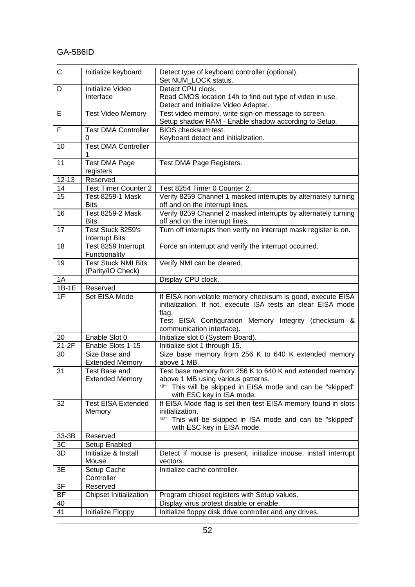### GA-586ID

| C         | Initialize keyboard                             | Detect type of keyboard controller (optional).<br>Set NUM LOCK status.                                                                                                                                                   |
|-----------|-------------------------------------------------|--------------------------------------------------------------------------------------------------------------------------------------------------------------------------------------------------------------------------|
| D         | Initialize Video<br>Interface                   | Detect CPU clock.<br>Read CMOS location 14h to find out type of video in use.                                                                                                                                            |
|           |                                                 | Detect and Initialize Video Adapter.                                                                                                                                                                                     |
| Ε         | <b>Test Video Memory</b>                        | Test video memory, write sign-on message to screen.<br>Setup shadow RAM - Enable shadow according to Setup.                                                                                                              |
| F         | <b>Test DMA Controller</b><br>0                 | BIOS checksum test.<br>Keyboard detect and initialization.                                                                                                                                                               |
| 10        | <b>Test DMA Controller</b>                      |                                                                                                                                                                                                                          |
| 11        | <b>Test DMA Page</b><br>registers               | Test DMA Page Registers.                                                                                                                                                                                                 |
| $12 - 13$ | Reserved                                        |                                                                                                                                                                                                                          |
| 14        | <b>Test Timer Counter 2</b>                     | Test 8254 Timer 0 Counter 2.                                                                                                                                                                                             |
| 15        | <b>Test 8259-1 Mask</b><br><b>Bits</b>          | Verify 8259 Channel 1 masked interrupts by alternately turning<br>off and on the interrupt lines.                                                                                                                        |
| 16        | <b>Test 8259-2 Mask</b><br><b>Bits</b>          | Verify 8259 Channel 2 masked interrupts by alternately turning<br>off and on the interrupt lines.                                                                                                                        |
| 17        | Test Stuck 8259's<br><b>Interrupt Bits</b>      | Turn off interrupts then verify no interrupt mask register is on.                                                                                                                                                        |
| 18        | Test 8259 Interrupt<br>Functionality            | Force an interrupt and verify the interrupt occurred.                                                                                                                                                                    |
| 19        | <b>Test Stuck NMI Bits</b><br>(Parity/IO Check) | Verify NMI can be cleared.                                                                                                                                                                                               |
| 1A        |                                                 | Display CPU clock.                                                                                                                                                                                                       |
| $1B-1E$   | Reserved                                        |                                                                                                                                                                                                                          |
| 1F        | Set EISA Mode                                   | If EISA non-volatile memory checksum is good, execute EISA<br>initialization. If not, execute ISA tests an clear EISA mode<br>flag.<br>Test EISA Configuration Memory Integrity (checksum &<br>communication interface). |
| 20        | Enable Slot 0                                   | Initialize slot 0 (System Board).                                                                                                                                                                                        |
| $21-2F$   | Enable Slots 1-15                               | Initialize slot 1 through 15.                                                                                                                                                                                            |
| 30        | Size Base and<br><b>Extended Memory</b>         | Size base memory from 256 K to 640 K extended memory<br>above 1 MB.                                                                                                                                                      |
| 31        | Test Base and<br><b>Extended Memory</b>         | Test base memory from 256 K to 640 K and extended memory<br>above 1 MB using various patterns.<br>This will be skipped in EISA mode and can be "skipped"<br>with ESC key in ISA mode.                                    |
| 32        | <b>Test EISA Extended</b><br>Memory             | If EISA Mode flag is set then test EISA memory found in slots<br>initialization.<br>☞<br>This will be skipped in ISA mode and can be "skipped"<br>with ESC key in EISA mode.                                             |
| 33-3B     | Reserved                                        |                                                                                                                                                                                                                          |
| 3C        | Setup Enabled                                   |                                                                                                                                                                                                                          |
| 3D        | Initialize & Install<br>Mouse                   | Detect if mouse is present, initialize mouse, install interrupt<br>vectors.                                                                                                                                              |
| 3E        | Setup Cache<br>Controller                       | Initialize cache controller.                                                                                                                                                                                             |
| 3F        | Reserved                                        |                                                                                                                                                                                                                          |
| BF        | <b>Chipset Initialization</b>                   | Program chipset registers with Setup values.                                                                                                                                                                             |
| 40        |                                                 | Display virus protest disable or enable.                                                                                                                                                                                 |
| 41        | Initialize Floppy                               | Initialize floppy disk drive controller and any drives.                                                                                                                                                                  |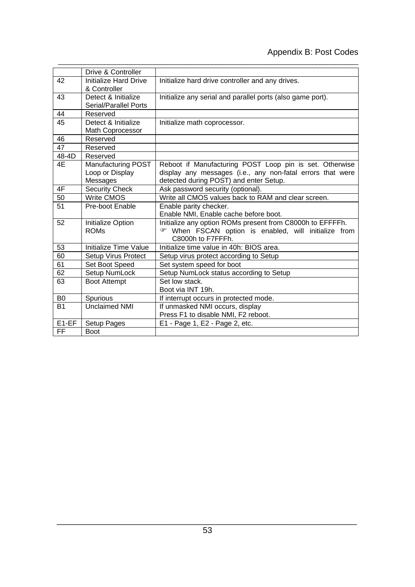|                | Drive & Controller         |                                                            |
|----------------|----------------------------|------------------------------------------------------------|
| 42             | Initialize Hard Drive      | Initialize hard drive controller and any drives.           |
|                | & Controller               |                                                            |
| 43             | Detect & Initialize        | Initialize any serial and parallel ports (also game port). |
|                | Serial/Parallel Ports      |                                                            |
| 44             | Reserved                   |                                                            |
| 45             | Detect & Initialize        | Initialize math coprocessor.                               |
|                | Math Coprocessor           |                                                            |
| 46             | Reserved                   |                                                            |
| 47             | Reserved                   |                                                            |
| 48-4D          | Reserved                   |                                                            |
| 4E             | Manufacturing POST         | Reboot if Manufacturing POST Loop pin is set. Otherwise    |
|                | Loop or Display            | display any messages (i.e., any non-fatal errors that were |
|                | Messages                   | detected during POST) and enter Setup.                     |
| 4F             | <b>Security Check</b>      | Ask password security (optional).                          |
| 50             | <b>Write CMOS</b>          | Write all CMOS values back to RAM and clear screen.        |
| 51             | Pre-boot Enable            | Enable parity checker.                                     |
|                |                            | Enable NMI, Enable cache before boot.                      |
| 52             | Initialize Option          | Initialize any option ROMs present from C8000h to EFFFFh.  |
|                | <b>ROMs</b>                | When FSCAN option is enabled, will initialize from         |
|                |                            | C8000h to F7FFFh.                                          |
| 53             | Initialize Time Value      | Initialize time value in 40h: BIOS area.                   |
| 60             | <b>Setup Virus Protect</b> | Setup virus protect according to Setup                     |
| 61             | Set Boot Speed             | Set system speed for boot                                  |
| 62             | Setup NumLock              | Setup NumLock status according to Setup                    |
| 63             | <b>Boot Attempt</b>        | Set low stack.                                             |
|                |                            | Boot via INT 19h.                                          |
| B <sub>0</sub> | Spurious                   | If interrupt occurs in protected mode.                     |
| <b>B1</b>      | <b>Unclaimed NMI</b>       | If unmasked NMI occurs, display                            |
|                |                            | Press F1 to disable NMI, F2 reboot.                        |
| E1-EF          | Setup Pages                | E1 - Page 1, E2 - Page 2, etc.                             |
| <b>FF</b>      | <b>Boot</b>                |                                                            |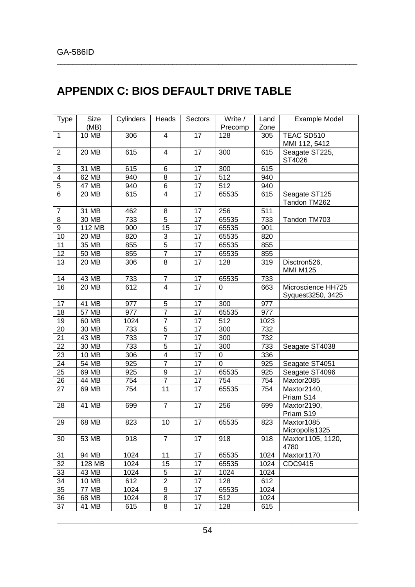# **APPENDIX C: BIOS DEFAULT DRIVE TABLE**

| <b>Type</b>             | Size         | Cylinders | Heads                     | Sectors | Write /        | Land | <b>Example Model</b>                    |
|-------------------------|--------------|-----------|---------------------------|---------|----------------|------|-----------------------------------------|
|                         | (MB)         |           |                           |         | Precomp        | Zone |                                         |
| $\mathbf{1}$            | 10 MB        | 306       | $\overline{4}$            | 17      | 128            | 305  | TEAC SD510<br>MMI 112, 5412             |
| $\overline{2}$          | <b>20 MB</b> | 615       | $\overline{4}$            | 17      | 300            | 615  | Seagate ST225,<br>ST4026                |
| 3                       | 31 MB        | 615       | 6                         | 17      | 300            | 615  |                                         |
| $\overline{\mathbf{4}}$ | 62 MB        | 940       | 8                         | 17      | 512            | 940  |                                         |
| $\overline{5}$          | <b>47 MB</b> | 940       | 6                         | 17      | 512            | 940  |                                         |
| 6                       | 20 MB        | 615       | 4                         | 17      | 65535          | 615  | Seagate ST125<br>Tandon TM262           |
| 7                       | 31 MB        | 462       | 8                         | 17      | 256            | 511  |                                         |
| 8                       | 30 MB        | 733       | 5                         | 17      | 65535          | 733  | Tandon TM703                            |
| 9                       | 112 MB       | 900       | 15                        | 17      | 65535          | 901  |                                         |
| 10                      | 20 MB        | 820       | $\ensuremath{\mathsf{3}}$ | 17      | 65535          | 820  |                                         |
| 11                      | 35 MB        | 855       | 5                         | 17      | 65535          | 855  |                                         |
| 12                      | 50 MB        | 855       | $\overline{7}$            | 17      | 65535          | 855  |                                         |
| 13                      | 20 MB        | 306       | 8                         | 17      | 128            | 319  | Disctron526,<br><b>MMI M125</b>         |
| 14                      | 43 MB        | 733       | $\overline{7}$            | 17      | 65535          | 733  |                                         |
| 16                      | 20 MB        | 612       | $\overline{4}$            | 17      | $\Omega$       | 663  | Microscience HH725<br>Syquest3250, 3425 |
| 17                      | 41 MB        | 977       | $\mathbf 5$               | 17      | 300            | 977  |                                         |
| 18                      | 57 MB        | 977       | $\overline{7}$            | 17      | 65535          | 977  |                                         |
| 19                      | 60 MB        | 1024      | $\overline{7}$            | 17      | 512            | 1023 |                                         |
| 20                      | 30 MB        | 733       | $\mathbf 5$               | 17      | 300            | 732  |                                         |
| 21                      | 43 MB        | 733       | $\overline{7}$            | 17      | 300            | 732  |                                         |
| 22                      | 30 MB        | 733       | 5                         | 17      | 300            | 733  | Seagate ST4038                          |
| 23                      | <b>10 MB</b> | 306       | $\overline{\mathbf{4}}$   | 17      | $\pmb{0}$      | 336  |                                         |
| 24                      | 54 MB        | 925       | $\overline{7}$            | 17      | $\overline{0}$ | 925  | Seagate ST4051                          |
| 25                      | 69 MB        | 925       | 9                         | 17      | 65535          | 925  | Seagate ST4096                          |
| 26                      | 44 MB        | 754       | $\overline{7}$            | 17      | 754            | 754  | Maxtor2085                              |
| 27                      | 69 MB        | 754       | 11                        | 17      | 65535          | 754  | Maxtor2140,<br>Priam S14                |
| 28                      | 41 MB        | 699       | $\overline{7}$            | 17      | 256            | 699  | Maxtor2190,<br>Priam S19                |
| 29                      | 68 MB        | 823       | 10                        | 17      | 65535          | 823  | Maxtor1085<br>Micropolis1325            |
| 30                      | 53 MB        | 918       | $\overline{7}$            | 17      | 918            | 918  | Maxtor1105, 1120,<br>4780               |
| 31                      | 94 MB        | 1024      | 11                        | 17      | 65535          | 1024 | Maxtor1170                              |
| 32                      | 128 MB       | 1024      | 15                        | 17      | 65535          | 1024 | CDC9415                                 |
| 33                      | 43 MB        | 1024      | 5                         | 17      | 1024           | 1024 |                                         |
| 34                      | 10 MB        | 612       | $\overline{2}$            | 17      | 128            | 612  |                                         |
| 35                      | <b>77 MB</b> | 1024      | 9                         | 17      | 65535          | 1024 |                                         |
| 36                      | 68 MB        | 1024      | 8                         | 17      | 512            | 1024 |                                         |
| 37                      | 41 MB        | 615       | 8                         | 17      | 128            | 615  |                                         |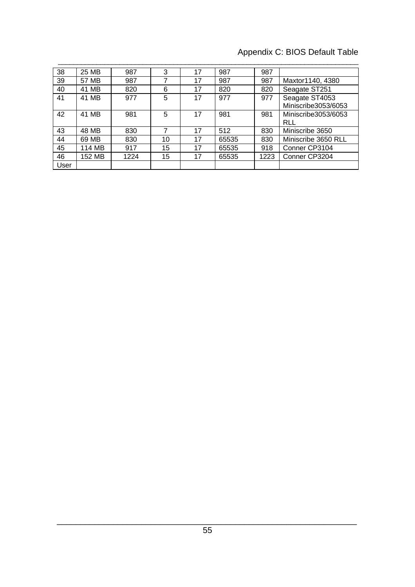# Appendix C: BIOS Default Table

| 38   | 25 MB  | 987  | 3  | 17 | 987   | 987  |                                       |
|------|--------|------|----|----|-------|------|---------------------------------------|
| 39   | 57 MB  | 987  | 7  | 17 | 987   | 987  | Maxtor1140, 4380                      |
| 40   | 41 MB  | 820  | 6  | 17 | 820   | 820  | Seagate ST251                         |
| 41   | 41 MB  | 977  | 5  | 17 | 977   | 977  | Seagate ST4053<br>Miniscribe3053/6053 |
| 42   | 41 MB  | 981  | 5  | 17 | 981   | 981  | Miniscribe3053/6053<br><b>RLL</b>     |
| 43   | 48 MB  | 830  |    | 17 | 512   | 830  | Miniscribe 3650                       |
| 44   | 69 MB  | 830  | 10 | 17 | 65535 | 830  | Miniscribe 3650 RLL                   |
| 45   | 114 MB | 917  | 15 | 17 | 65535 | 918  | Conner CP3104                         |
| 46   | 152 MB | 1224 | 15 | 17 | 65535 | 1223 | Conner CP3204                         |
| User |        |      |    |    |       |      |                                       |